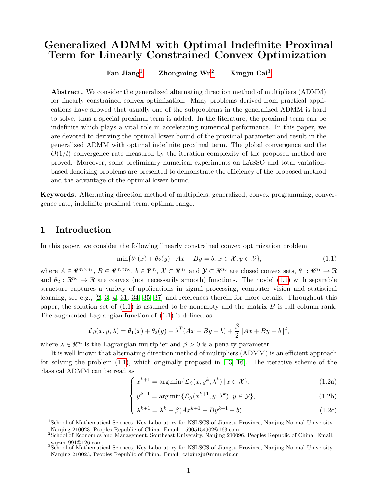# Generalized ADMM with Optimal Indefinite Proximal Term for Linearly Constrained Convex Optimization

Fan Jiang<sup>[1](#page-0-0)</sup> Zhongming Wu<sup>[2](#page-0-1)</sup> Xingju Cai<sup>[3](#page-0-2)</sup>

Abstract. We consider the generalized alternating direction method of multipliers (ADMM) for linearly constrained convex optimization. Many problems derived from practical applications have showed that usually one of the subproblems in the generalized ADMM is hard to solve, thus a special proximal term is added. In the literature, the proximal term can be indefinite which plays a vital role in accelerating numerical performance. In this paper, we are devoted to deriving the optimal lower bound of the proximal parameter and result in the generalized ADMM with optimal indefinite proximal term. The global convergence and the  $O(1/t)$  convergence rate measured by the iteration complexity of the proposed method are proved. Moreover, some preliminary numerical experiments on LASSO and total variationbased denoising problems are presented to demonstrate the efficiency of the proposed method and the advantage of the optimal lower bound.

Keywords. Alternating direction method of multipliers, generalized, convex programming, convergence rate, indefinite proximal term, optimal range.

### 1 Introduction

In this paper, we consider the following linearly constrained convex optimization problem

<span id="page-0-3"></span>
$$
\min\{\theta_1(x) + \theta_2(y) \mid Ax + By = b, x \in \mathcal{X}, y \in \mathcal{Y}\},\tag{1.1}
$$

where  $A \in \mathbb{R}^{m \times n_1}$ ,  $B \in \mathbb{R}^{m \times n_2}$ ,  $b \in \mathbb{R}^m$ ,  $\mathcal{X} \subset \mathbb{R}^{n_1}$  and  $\mathcal{Y} \subset \mathbb{R}^{n_2}$  are closed convex sets,  $\theta_1 : \mathbb{R}^{n_1} \to \mathbb{R}$ and  $\theta_2 : \mathbb{R}^{n_2} \to \mathbb{R}$  are convex (not necessarily smooth) functions. The model [\(1.1\)](#page-0-3) with separable structure captures a variety of applications in signal processing, computer vision and statistical learning, see e.g., [\[2,](#page-20-0) [3,](#page-20-1) [4,](#page-21-0) [31,](#page-22-0) [34,](#page-22-1) [35,](#page-22-2) [37\]](#page-23-0) and references therein for more details. Throughout this paper, the solution set of  $(1.1)$  is assumed to be nonempty and the matrix  $B$  is full column rank. The augmented Lagrangian function of [\(1.1\)](#page-0-3) is defined as

$$
\mathcal{L}_{\beta}(x,y,\lambda) = \theta_1(x) + \theta_2(y) - \lambda^T (Ax + By - b) + \frac{\beta}{2} ||Ax + By - b||^2,
$$

where  $\lambda \in \mathbb{R}^m$  is the Lagrangian multiplier and  $\beta > 0$  is a penalty parameter.

It is well known that alternating direction method of multipliers (ADMM) is an efficient approach for solving the problem  $(1.1)$ , which originally proposed in [\[13,](#page-21-1) [16\]](#page-21-2). The iterative scheme of the classical ADMM can be read as

<span id="page-0-4"></span>
$$
\int x^{k+1} = \arg\min\{\mathcal{L}_{\beta}(x, y^k, \lambda^k) \, | \, x \in \mathcal{X}\},\tag{1.2a}
$$

$$
\begin{cases}\n x = \arg\min\{ \mathcal{L}_{\beta}(x^{k+1}, y, \lambda^k) \mid y \in \mathcal{Y} \}, \\
 y^{k+1} = \arg\min\{ \mathcal{L}_{\beta}(x^{k+1}, y, \lambda^k) \mid y \in \mathcal{Y} \},\n\end{cases}
$$
\n(1.2b)

$$
\lambda^{k+1} = \lambda^k - \beta(Ax^{k+1} + By^{k+1} - b).
$$
 (1.2c)

<span id="page-0-0"></span><sup>&</sup>lt;sup>1</sup>School of Mathematical Sciences, Key Laboratory for NSLSCS of Jiangsu Province, Nanjing Normal University,

<span id="page-0-1"></span>Nanjing 210023, Peoples Republic of China. Email: 15905154902@163.com <sup>2</sup>School of Economics and Management, Southeast University, Nanjing 210096, Peoples Republic of China. Email: wuzm1991@126.com <sup>3</sup>School of Mathematical Sciences, Key Laboratory for NSLSCS of Jiangsu Province, Nanjing Normal University,

<span id="page-0-2"></span>Nanjing 210023, Peoples Republic of China. Email: caixingju@njnu.edu.cn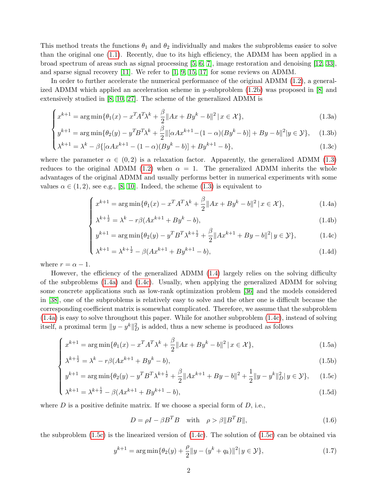This method treats the functions  $\theta_1$  and  $\theta_2$  individually and makes the subproblems easier to solve than the original one [\(1.1\)](#page-0-3). Recently, due to its high efficiency, the ADMM has been applied in a broad spectrum of areas such as signal processing [\[5,](#page-21-3) [6,](#page-21-4) [7\]](#page-21-5), image restoration and denoising [\[12,](#page-21-6) [33\]](#page-22-3), and sparse signal recovery [\[11\]](#page-21-7). We refer to [\[1,](#page-20-2) [9,](#page-21-8) [15,](#page-21-9) [17\]](#page-21-10) for some reviews on ADMM.

In order to further accelerate the numerical performance of the original ADMM [\(1.2\)](#page-0-4), a generalized ADMM which applied an acceleration scheme in y-subproblem  $(1.2b)$  was proposed in [\[8\]](#page-21-11) and extensively studied in [\[8,](#page-21-11) [10,](#page-21-12) [27\]](#page-22-4). The scheme of the generalized ADMM is

$$
\int x^{k+1} = \arg\min \{ \theta_1(x) - x^T A^T \lambda^k + \frac{\beta}{2} \| Ax + By^k - b \|^2 \, | \, x \in \mathcal{X} \},\tag{1.3a}
$$

$$
y^{k+1} = \arg\min\{\theta_2(y) - y^T B^T \lambda^k + \frac{\beta}{2} \|\left[\alpha A x^{k+1} - (1 - \alpha)(B y^k - b)\right] + B y - b\|^2 | y \in \mathcal{Y}\},\tag{1.3b}
$$

$$
\begin{cases}\n\lambda^{k+1} = \lambda^k - \beta \{ [\alpha A x^{k+1} - (1 - \alpha)(By^k - b)] + By^{k+1} - b \},\n\end{cases}
$$
\n(1.3c)

where the parameter  $\alpha \in (0,2)$  is a relaxation factor. Apparently, the generalized ADMM [\(1.3\)](#page-1-0) reduces to the original ADMM [\(1.2\)](#page-0-4) when  $\alpha = 1$ . The generalized ADMM inherits the whole advantages of the original ADMM and usually performs better in numerical experiments with some values  $\alpha \in (1,2)$ , see e.g., [\[8,](#page-21-11) [10\]](#page-21-12). Indeed, the scheme  $(1.3)$  is equivalent to

<span id="page-1-0"></span>
$$
\begin{cases}\nx^{k+1} = \arg\min\{\theta_1(x) - x^T A^T \lambda^k + \frac{\beta}{2} \|Ax + By^k - b\|^2 \, | \, x \in \mathcal{X}\}, \\
\lambda^{k+\frac{1}{2}} = \lambda^k - r\beta(Ax^{k+1} + By^k - b),\n\end{cases} \tag{1.4a}
$$

<span id="page-1-1"></span>
$$
\lambda^{k + \frac{1}{2}} = \lambda^k - r\beta(Ax^{k+1} + By^k - b),\tag{1.4b}
$$

$$
y^{k+1} = \arg\min\{\theta_2(y) - y^T B^T \lambda^{k+\frac{1}{2}} + \frac{\beta}{2} \|Ax^{k+1} + By - b\|^2 | y \in \mathcal{Y}\},\tag{1.4c}
$$

$$
\begin{cases} y^{k+1} = \arg \min \{ \theta_2(y) - y^T B^T \lambda^{k + \frac{1}{2}} + \frac{\beta}{2} \| A x^{k+1} + B y - b \|^2 | y \in \mathcal{Y} \}, \\ \lambda^{k+1} = \lambda^{k + \frac{1}{2}} - \beta (A x^{k+1} + B y^{k+1} - b), \end{cases} (1.4d)
$$

where  $r = \alpha - 1$ .

However, the efficiency of the generalized ADMM [\(1.4\)](#page-1-1) largely relies on the solving difficulty of the subproblems [\(1.4a\)](#page-1-1) and [\(1.4c\)](#page-1-1). Usually, when applying the generalized ADMM for solving some concrete applications such as low-rank optimization problem [\[36\]](#page-22-5) and the models considered in [\[38\]](#page-23-1), one of the subproblems is relatively easy to solve and the other one is difficult because the corresponding coefficient matrix is somewhat complicated. Therefore, we assume that the subproblem [\(1.4a\)](#page-1-1) is easy to solve throughout this paper. While for another subproblem [\(1.4c\)](#page-1-1), instead of solving itself, a proximal term  $||y - y^k||_D^2$  is added, thus a new scheme is produced as follows

$$
\int x^{k+1} = \arg\min\{\theta_1(x) - x^T A^T \lambda^k + \frac{\beta}{2} \|Ax + By^k - b\|^2 \, | \, x \in \mathcal{X}\},\tag{1.5a}
$$

$$
x^{k+\frac{1}{2}} = \arg \min \{ \theta_1(x) - x^2 A^2 + \frac{1}{2} \| Ax + By^2 - 0 \| ^2 | x \in \mathcal{X} \},
$$
\n(1.5a)  
\n
$$
\lambda^{k+\frac{1}{2}} = \lambda^k - r\beta (Ax^{k+1} + By^k - b),
$$
\n(1.5b)

$$
y^{k+1} = \arg\min\{\theta_2(y) - y^T B^T \lambda^{k+\frac{1}{2}} + \frac{\beta}{2} \|Ax^{k+1} + By - b\|^2 + \frac{1}{2} \|y - y^k\|_D^2 \|y \in \mathcal{Y}\},\tag{1.5c}
$$

$$
\begin{cases} y^{k+1} = \arg \min \{ \theta_2(y) - y^T B^T \lambda^{k + \frac{1}{2}} + \frac{\beta}{2} \| A x^{k+1} + B y - b \|^2 + \frac{1}{2} \| y - y^k \|_D^2 \| y \in \mathcal{Y} \}, \quad (1.5c) \\ \lambda^{k+1} = \lambda^{k + \frac{1}{2}} - \beta (A x^{k+1} + B y^{k+1} - b), \end{cases} (1.5d)
$$

where  $D$  is a positive definite matrix. If we choose a special form of  $D$ , i.e.,

<span id="page-1-3"></span><span id="page-1-2"></span>
$$
D = \rho I - \beta B^T B \quad \text{with} \quad \rho > \beta \| B^T B \|, \tag{1.6}
$$

the subproblem  $(1.5c)$  is the linearized version of  $(1.4c)$ . The solution of  $(1.5c)$  can be obtained via

<span id="page-1-4"></span>
$$
y^{k+1} = \arg\min\{\theta_2(y) + \frac{\rho}{2} \|y - (y^k + q_k)\|^2 | y \in \mathcal{Y}\},\tag{1.7}
$$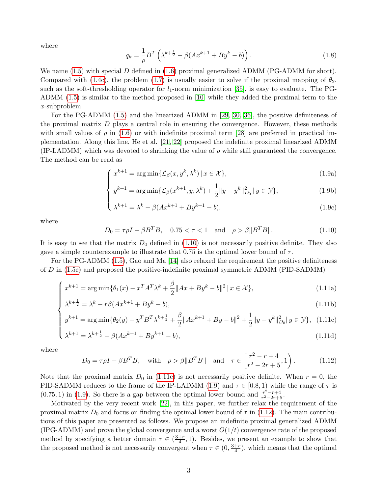where

$$
q_k = \frac{1}{\rho} B^T \left( \lambda^{k + \frac{1}{2}} - \beta (Ax^{k+1} + By^k - b) \right).
$$
 (1.8)

We name  $(1.5)$  with special D defined in  $(1.6)$  proximal generalized ADMM (PG-ADMM for short). Compared with [\(1.4c\)](#page-1-1), the problem [\(1.7\)](#page-1-4) is usually easier to solve if the proximal mapping of  $\theta_2$ , such as the soft-thresholding operator for  $l_1$ -norm minimization [\[35\]](#page-22-2), is easy to evaluate. The PG-ADMM [\(1.5\)](#page-1-2) is similar to the method proposed in [\[10\]](#page-21-12) while they added the proximal term to the x-subproblem.

For the PG-ADMM [\(1.5\)](#page-1-2) and the linearized ADMM in [\[29,](#page-22-6) [30,](#page-22-7) [36\]](#page-22-5), the positive definiteness of the proximal matrix  $D$  plays a central role in ensuring the convergence. However, these methods with small values of  $\rho$  in [\(1.6\)](#page-1-3) or with indefinite proximal term [\[28\]](#page-22-8) are preferred in practical implementation. Along this line, He et al. [\[21,](#page-22-9) [22\]](#page-22-10) proposed the indefinite proximal linearized ADMM (IP-LADMM) which was devoted to shrinking the value of  $\rho$  while still guaranteed the convergence. The method can be read as

<span id="page-2-2"></span>
$$
\int x^{k+1} = \arg\min\{\mathcal{L}_{\beta}(x, y^k, \lambda^k) \, | \, x \in \mathcal{X}\},\tag{1.9a}
$$

$$
\begin{cases}\n y^{k+1} = \arg \min \{ \mathcal{L}_{\beta}(x^{k+1}, y, \lambda^k) + \frac{1}{2} ||y - y^k||_{D_0}^2 \, | \, y \in \mathcal{Y} \},\n \end{cases}\n \tag{1.9b}
$$

$$
\begin{cases} \lambda^{k+1} = \lambda^k - \beta(Ax^{k+1} + By^{k+1} - b). \end{cases}
$$
 (1.9c)

where

<span id="page-2-1"></span><span id="page-2-0"></span>
$$
D_0 = \tau \rho I - \beta B^T B, \quad 0.75 < \tau < 1 \quad \text{and} \quad \rho > \beta \| B^T B \|.
$$
 (1.10)

It is easy to see that the matrix  $D_0$  defined in [\(1.10\)](#page-2-0) is not necessarily positive definite. They also gave a simple counterexample to illustrate that 0.75 is the optimal lower bound of  $\tau$ .

For the PG-ADMM [\(1.5\)](#page-1-2), Gao and Ma [\[14\]](#page-21-13) also relaxed the requirement the positive definiteness of D in [\(1.5c\)](#page-1-2) and proposed the positive-indefinite proximal symmetric ADMM (PID-SADMM)

$$
\int x^{k+1} = \arg\min\{\theta_1(x) - x^T A^T \lambda^k + \frac{\beta}{2} \|Ax + By^k - b\|^2 \, | \, x \in \mathcal{X}\},\tag{1.11a}
$$

$$
\int x^{k+\frac{1}{2}} = \arg \min \{ \theta_1(x) - x^2 A^2 X^2 + \frac{1}{2} \| Ax + By^2 - 0 \| ^2 | x \in \mathcal{X} \},
$$
\n(1.11a)  
\n
$$
\lambda^{k+\frac{1}{2}} = \lambda^k - r\beta(Ax^{k+1} + By^k - b),
$$
\n(1.11b)

$$
\begin{cases} y^{k+1} = \arg \min \{ \theta_2(y) - y^T B^T \lambda^{k + \frac{1}{2}} + \frac{\beta}{2} \| A x^{k+1} + B y - b \|^2 + \frac{1}{2} \| y - y^k \|_{D_0}^2 \| y \in \mathcal{Y} \}, & (1.11c) \\ \lambda^{k+1} = \lambda^{k + \frac{1}{2}} - \beta (A x^{k+1} + B y^{k+1} - b), & (1.11d) \end{cases}
$$

$$
\lambda^{k+1} = \lambda^{k+\frac{1}{2}} - \beta(Ax^{k+1} + By^{k+1} - b),\tag{1.11d}
$$

where

<span id="page-2-3"></span>
$$
D_0 = \tau \rho I - \beta B^T B, \quad \text{with} \quad \rho > \beta \| B^T B \| \quad \text{and} \quad \tau \in \left[ \frac{r^2 - r + 4}{r^2 - 2r + 5}, 1 \right). \tag{1.12}
$$

Note that the proximal matrix  $D_0$  in [\(1.11c\)](#page-2-1) is not necessarily positive definite. When  $r = 0$ , the PID-SADMM reduces to the frame of the IP-LADMM [\(1.9\)](#page-2-2) and  $\tau \in [0.8, 1)$  while the range of  $\tau$  is  $(0.75, 1)$  in [\(1.9\)](#page-2-2). So there is a gap between the optimal lower bound and  $\frac{r^2-r+4}{r^2-2r+1}$  $\frac{r^2-r+4}{r^2-2r+5}$ .

Motivated by the very recent work [\[22\]](#page-22-10), in this paper, we further relax the requirement of the proximal matrix  $D_0$  and focus on finding the optimal lower bound of  $\tau$  in [\(1.12\)](#page-2-3). The main contributions of this paper are presented as follows. We propose an indefinite proximal generalized ADMM  $(IPG-ADMM)$  and prove the global convergence and a worst  $O(1/t)$  convergence rate of the proposed method by specifying a better domain  $\tau \in (\frac{3+r}{4})$  $\frac{+r}{4}$ , 1). Besides, we present an example to show that the proposed method is not necessarily convergent when  $\tau \in (0, \frac{3+r}{4})$  $\frac{+r}{4}$ , which means that the optimal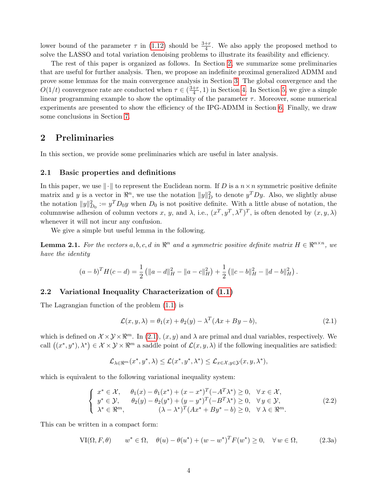lower bound of the parameter  $\tau$  in [\(1.12\)](#page-2-3) should be  $\frac{3+r}{4}$ . We also apply the proposed method to solve the LASSO and total variation denoising problems to illustrate its feasibility and efficiency.

The rest of this paper is organized as follows. In Section [2,](#page-3-0) we summarize some preliminaries that are useful for further analysis. Then, we propose an indefinite proximal generalized ADMM and prove some lemmas for the main convergence analysis in Section [3.](#page-4-0) The global convergence and the  $O(1/t)$  convergence rate are conducted when  $\tau \in (\frac{3+r}{4})$  $\frac{+r}{4}$ , 1) in Section [4.](#page-12-0) In Section [5,](#page-15-0) we give a simple linear programming example to show the optimality of the parameter  $\tau$ . Moreover, some numerical experiments are presented to show the efficiency of the IPG-ADMM in Section [6.](#page-17-0) Finally, we draw some conclusions in Section [7.](#page-19-0)

# <span id="page-3-0"></span>2 Preliminaries

In this section, we provide some preliminaries which are useful in later analysis.

#### 2.1 Basic properties and definitions

In this paper, we use  $\|\cdot\|$  to represent the Euclidean norm. If D is a  $n \times n$  symmetric positive definite matrix and y is a vector in  $\mathbb{R}^n$ , we use the notation  $||y||_D^2$  to denote  $y^T D y$ . Also, we slightly abuse the notation  $||y||_{D_0}^2 := y^T D_0 y$  when  $D_0$  is not positive definite. With a little abuse of notation, the columnwise adhesion of column vectors x, y, and  $\lambda$ , i.e.,  $(x^T, y^T, \lambda^T)^T$ , is often denoted by  $(x, y, \lambda)$ whenever it will not incur any confusion.

We give a simple but useful lemma in the following.

<span id="page-3-3"></span>**Lemma 2.1.** For the vectors  $a, b, c, d$  in  $\mathbb{R}^n$  and a symmetric positive definite matrix  $H \in \mathbb{R}^{n \times n}$ , we have the identity

$$
(a-b)^{T}H(c-d) = \frac{1}{2} \left( \|a-d\|_{H}^{2} - \|a-c\|_{H}^{2} \right) + \frac{1}{2} \left( \|c-b\|_{H}^{2} - \|d-b\|_{H}^{2} \right).
$$

#### 2.2 Variational Inequality Characterization of [\(1.1\)](#page-0-3)

The Lagrangian function of the problem [\(1.1\)](#page-0-3) is

<span id="page-3-1"></span>
$$
\mathcal{L}(x, y, \lambda) = \theta_1(x) + \theta_2(y) - \lambda^T (Ax + By - b), \qquad (2.1)
$$

which is defined on  $\mathcal{X} \times \mathcal{Y} \times \mathbb{R}^m$ . In [\(2.1\)](#page-3-1),  $(x, y)$  and  $\lambda$  are primal and dual variables, respectively. We call  $((x^*,y^*),\lambda^*) \in \mathcal{X} \times \mathcal{Y} \times \mathbb{R}^m$  a saddle point of  $\mathcal{L}(x,y,\lambda)$  if the following inequalities are satisfied:

$$
\mathcal{L}_{\lambda \in \mathbb{R}^m} (x^*, y^*, \lambda) \leq \mathcal{L} (x^*, y^*, \lambda^*) \leq \mathcal{L}_{x \in \mathcal{X}, y \in \mathcal{Y}} (x, y, \lambda^*),
$$

which is equivalent to the following variational inequality system:

<span id="page-3-2"></span>
$$
\begin{cases}\nx^* \in \mathcal{X}, & \theta_1(x) - \theta_1(x^*) + (x - x^*)^T(-A^T\lambda^*) \ge 0, \quad \forall x \in \mathcal{X}, \\
y^* \in \mathcal{Y}, & \theta_2(y) - \theta_2(y^*) + (y - y^*)^T(-B^T\lambda^*) \ge 0, \quad \forall y \in \mathcal{Y}, \\
\lambda^* \in \mathbb{R}^m, & (\lambda - \lambda^*)^T(Ax^* + By^* - b) \ge 0, \quad \forall \lambda \in \mathbb{R}^m.\n\end{cases}
$$
\n(2.2)

This can be written in a compact form:

<span id="page-3-4"></span>
$$
\text{VI}(\Omega, F, \theta) \qquad w^* \in \Omega, \quad \theta(u) - \theta(u^*) + (w - w^*)^T F(w^*) \ge 0, \quad \forall w \in \Omega,
$$
\n
$$
(2.3a)
$$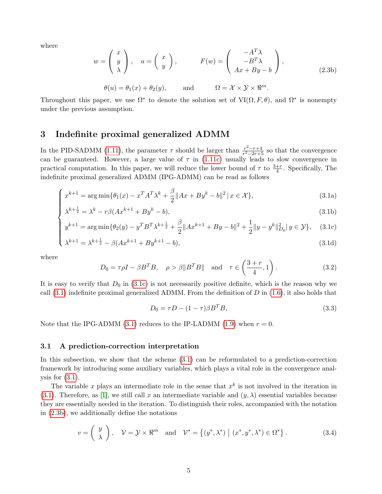where

<span id="page-4-2"></span>
$$
w = \begin{pmatrix} x \\ y \\ \lambda \end{pmatrix}, \quad u = \begin{pmatrix} x \\ y \end{pmatrix}, \qquad F(w) = \begin{pmatrix} -A^T \lambda \\ -B^T \lambda \\ Ax + By - b \end{pmatrix},
$$
  

$$
\theta(u) = \theta_1(x) + \theta_2(y), \qquad \text{and} \qquad \Omega = \mathcal{X} \times \mathcal{Y} \times \mathbb{R}^m.
$$
 (2.3b)

Throughout this paper, we use  $\Omega^*$  to denote the solution set of  $VI(\Omega, F, \theta)$ , and  $\Omega^*$  is nonempty under the previous assumption.

### <span id="page-4-0"></span>3 Indefinite proximal generalized ADMM

In the PID-SADMM [\(1.11\)](#page-2-1), the parameter  $\tau$  should be larger than  $\frac{r^2-r+4}{r^2-2r+1}$  $\frac{r^2-r+4}{r^2-2r+5}$  so that the convergence can be guaranteed. However, a large value of  $\tau$  in [\(1.11c\)](#page-2-1) usually leads to slow convergence in practical computation. In this paper, we will reduce the lower bound of  $\tau$  to  $\frac{3+r}{4}$ . Specifically, The indefinite proximal generalized ADMM (IPG-ADMM) can be read as follows

$$
\int x^{k+1} = \arg\min\{\theta_1(x) - x^T A^T \lambda^k + \frac{\beta}{2} \|Ax + By^k - b\|^2 \mid x \in \mathcal{X}\},\tag{3.1a}
$$
  

$$
\lambda^{k+\frac{1}{2}} = \lambda^k - r\beta(Ax^{k+1} + By^k - b),\tag{3.1b}
$$

$$
\lambda^{k+\frac{1}{2}} = \lambda^k - r\beta(Ax^{k+1} + By^k - b),\tag{3.1b}
$$

$$
\begin{cases} y^{k+1} = \arg \min \{ \theta_2(y) - y^T B^T \lambda^{k + \frac{1}{2}} + \frac{\beta}{2} \| A x^{k+1} + B y - b \|^2 + \frac{1}{2} \| y - y^k \|_{D_0}^2 \| y \in \mathcal{Y} \}, \quad (3.1c) \\ \lambda^{k+1} = \lambda^{k + \frac{1}{2}} - \beta (A x^{k+1} + B y^{k+1} - b), \end{cases} \tag{3.1d}
$$

$$
\lambda^{k+1} = \lambda^{k+\frac{1}{2}} - \beta(Ax^{k+1} + By^{k+1} - b),\tag{3.1d}
$$

where

<span id="page-4-3"></span>
$$
D_0 = \tau \rho I - \beta B^T B, \quad \rho > \beta \| B^T B \| \quad \text{and} \quad \tau \in \left(\frac{3+r}{4}, 1\right). \tag{3.2}
$$

It is easy to verify that  $D_0$  in [\(3.1c\)](#page-4-1) is not necessarily positive definite, which is the reason why we call  $(3.1)$  indefinite proximal generalized ADMM. From the definition of D in  $(1.6)$ , it also holds that

<span id="page-4-4"></span><span id="page-4-1"></span>
$$
D_0 = \tau D - (1 - \tau)\beta B^T B,\tag{3.3}
$$

Note that the IPG-ADMM  $(3.1)$  reduces to the IP-LADMM  $(1.9)$  when  $r = 0$ .

### 3.1 A prediction-correction interpretation

In this subsection, we show that the scheme [\(3.1\)](#page-4-1) can be reformulated to a prediction-correction framework by introducing some auxiliary variables, which plays a vital role in the convergence analysis for  $(3.1)$ .

The variable x plays an intermediate role in the sense that  $x^k$  is not involved in the iteration in [\(3.1\)](#page-4-1). Therefore, as [\[1\]](#page-20-2), we still call x an intermediate variable and  $(y, \lambda)$  essential variables because they are essentially needed in the iteration. To distinguish their roles, accompanied with the notation in [\(2.3b\)](#page-4-2), we additionally define the notations

$$
v = \left(\begin{array}{c} y \\ \lambda \end{array}\right), \quad \mathcal{V} = \mathcal{Y} \times \Re^m \quad \text{and} \quad \mathcal{V}^* = \left\{ (y^*, \lambda^*) \mid (x^*, y^*, \lambda^*) \in \Omega^* \right\}. \tag{3.4}
$$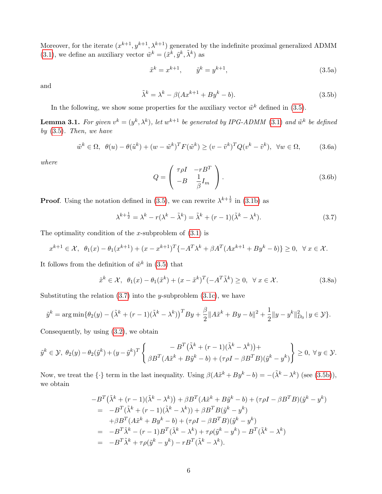Moreover, for the iterate  $(x^{k+1}, y^{k+1}, \lambda^{k+1})$  generated by the indefinite proximal generalized ADMM [\(3.1\)](#page-4-1), we define an auxiliary vector  $\tilde{w}^k = (\tilde{x}^k, \tilde{y}^k, \tilde{\lambda}^k)$  as

<span id="page-5-0"></span>
$$
\tilde{x}^k = x^{k+1}, \qquad \tilde{y}^k = y^{k+1}, \tag{3.5a}
$$

and

<span id="page-5-2"></span>
$$
\tilde{\lambda}^k = \lambda^k - \beta(Ax^{k+1} + By^k - b). \tag{3.5b}
$$

In the following, we show some properties for the auxiliary vector  $\tilde{w}^k$  defined in [\(3.5\)](#page-5-0).

**Lemma 3.1.** For given  $v^k = (y^k, \lambda^k)$ , let  $w^{k+1}$  be generated by IPG-ADMM [\(3.1\)](#page-4-1) and  $\tilde{w}^k$  be defined by  $(3.5)$ . Then, we have

<span id="page-5-5"></span><span id="page-5-4"></span>
$$
\tilde{w}^k \in \Omega, \ \ \theta(u) - \theta(\tilde{u}^k) + (w - \tilde{w}^k)^T F(\tilde{w}^k) \ge (v - \tilde{v}^k)^T Q(v^k - \tilde{v}^k), \ \ \forall w \in \Omega,
$$
\n
$$
(3.6a)
$$

where

<span id="page-5-6"></span>
$$
Q = \begin{pmatrix} \tau \rho I & -rB^T \\ -B & \frac{1}{\beta} I_m \end{pmatrix}.
$$
 (3.6b)

**Proof.** Using the notation defined in [\(3.5\)](#page-5-0), we can rewrite  $\lambda^{k+\frac{1}{2}}$  in [\(3.1b\)](#page-4-1) as

<span id="page-5-1"></span>
$$
\lambda^{k+\frac{1}{2}} = \lambda^k - r(\lambda^k - \tilde{\lambda}^k) = \tilde{\lambda}^k + (r-1)(\tilde{\lambda}^k - \lambda^k). \tag{3.7}
$$

The optimality condition of the x-subproblem of  $(3.1)$  is

$$
x^{k+1} \in \mathcal{X}, \ \ \theta_1(x) - \theta_1(x^{k+1}) + (x - x^{k+1})^T \{-A^T \lambda^k + \beta A^T (Ax^{k+1} + By^k - b)\} \ge 0, \ \ \forall \ x \in \mathcal{X}.
$$

It follows from the definition of  $\tilde{w}^k$  in [\(3.5\)](#page-5-0) that

<span id="page-5-3"></span>
$$
\tilde{x}^k \in \mathcal{X}, \ \ \theta_1(x) - \theta_1(\tilde{x}^k) + (x - \tilde{x}^k)^T(-A^T \tilde{\lambda}^k) \ge 0, \ \ \forall \ x \in \mathcal{X}.
$$

Substituting the relation  $(3.7)$  into the y-subproblem  $(3.1c)$ , we have

$$
\tilde{y}^k = \arg\min \{ \theta_2(y) - (\tilde{\lambda}^k + (r-1)(\tilde{\lambda}^k - \lambda^k))^T B y + \frac{\beta}{2} \|A\tilde{x}^k + By - b\|^2 + \frac{1}{2} \|y - y^k\|^2_{D_0} \, | \, y \in \mathcal{Y} \}.
$$

Consequently, by using [\(3.2\)](#page-4-3), we obtain

$$
\tilde{y}^k \in \mathcal{Y}, \ \theta_2(y) - \theta_2(\tilde{y}^k) + (y - \tilde{y}^k)^T \left\{ \begin{array}{c} -B^T(\tilde{\lambda}^k + (r-1)(\tilde{\lambda}^k - \lambda^k)) + \\ \beta B^T(A\tilde{x}^k + B\tilde{y}^k - b) + (\tau \rho I - \beta B^T B)(\tilde{y}^k - y^k) \end{array} \right\} \geq 0, \ \forall y \in \mathcal{Y}.
$$

Now, we treat the  $\{\cdot\}$  term in the last inequality. Using  $\beta(A\tilde{x}^k + By^k - b) = -(\tilde{\lambda}^k - \lambda^k)$  (see [\(3.5b\)](#page-5-2)), we obtain

$$
-B^T(\tilde{\lambda}^k + (r-1)(\tilde{\lambda}^k - \lambda^k)) + \beta B^T(A\tilde{x}^k + B\tilde{y}^k - b) + (\tau \rho I - \beta B^T B)(\tilde{y}^k - y^k)
$$
  
= 
$$
-B^T(\tilde{\lambda}^k + (r-1)(\tilde{\lambda}^k - \lambda^k)) + \beta B^T B(\tilde{y}^k - y^k)
$$
  
+ 
$$
\beta B^T(A\tilde{x}^k + By^k - b) + (\tau \rho I - \beta B^T B)(\tilde{y}^k - y^k)
$$
  
= 
$$
-B^T \tilde{\lambda}^k - (r-1)B^T(\tilde{\lambda}^k - \lambda^k) + \tau \rho(\tilde{y}^k - y^k) - B^T(\tilde{\lambda}^k - \lambda^k)
$$
  
= 
$$
-B^T \tilde{\lambda}^k + \tau \rho(\tilde{y}^k - y^k) - rB^T(\tilde{\lambda}^k - \lambda^k).
$$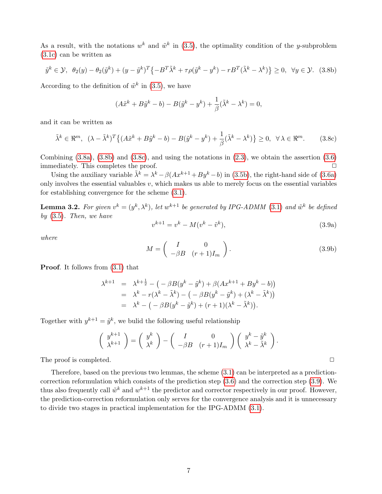As a result, with the notations  $w^k$  and  $\tilde{w}^k$  in [\(3.5\)](#page-5-0), the optimality condition of the y-subproblem [\(3.1c\)](#page-4-1) can be written as

<span id="page-6-0"></span>
$$
\tilde{y}^k \in \mathcal{Y}, \ \theta_2(y) - \theta_2(\tilde{y}^k) + (y - \tilde{y}^k)^T \{-B^T \tilde{\lambda}^k + \tau \rho (\tilde{y}^k - y^k) - rB^T (\tilde{\lambda}^k - \lambda^k) \} \ge 0, \ \forall y \in \mathcal{Y}. \tag{3.8b}
$$

According to the definition of  $\tilde{w}^k$  in [\(3.5\)](#page-5-0), we have

$$
(A\tilde{x}^k + B\tilde{y}^k - b) - B(\tilde{y}^k - y^k) + \frac{1}{\beta}(\tilde{\lambda}^k - \lambda^k) = 0,
$$

and it can be written as

<span id="page-6-1"></span>
$$
\tilde{\lambda}^k \in \mathbb{R}^m, \ \ (\lambda - \tilde{\lambda}^k)^T \{ (A\tilde{x}^k + B\tilde{y}^k - b) - B(\tilde{y}^k - y^k) + \frac{1}{\beta} (\tilde{\lambda}^k - \lambda^k) \} \ge 0, \ \ \forall \ \lambda \in \mathbb{R}^m. \tag{3.8c}
$$

Combining  $(3.8a)$ ,  $(3.8b)$  and  $(3.8c)$ , and using the notations in  $(2.3)$ , we obtain the assertion  $(3.6)$ immediately. This completes the proof.  $\Box$ 

Using the auxiliary variable  $\tilde{\lambda}^k = \lambda^k - \beta(Ax^{k+1} + By^k - b)$  in [\(3.5b\)](#page-5-2), the right-hand side of [\(3.6a\)](#page-5-5) only involves the essential valuables  $v$ , which makes us able to merely focus on the essential variables for establishing convergence for the scheme [\(3.1\)](#page-4-1).

**Lemma 3.2.** For given  $v^k = (y^k, \lambda^k)$ , let  $w^{k+1}$  be generated by IPG-ADMM [\(3.1\)](#page-4-1) and  $\tilde{w}^k$  be defined by  $(3.5)$ . Then, we have

<span id="page-6-4"></span><span id="page-6-2"></span>
$$
v^{k+1} = v^k - M(v^k - \tilde{v}^k),
$$
\n(3.9a)

where

<span id="page-6-3"></span>
$$
M = \begin{pmatrix} I & 0 \\ -\beta B & (r+1)I_m \end{pmatrix}.
$$
 (3.9b)

Proof. It follows from [\(3.1\)](#page-4-1) that

$$
\lambda^{k+1} = \lambda^{k+\frac{1}{2}} - (-\beta B(y^k - \tilde{y}^k) + \beta(Ax^{k+1} + By^k - b))
$$
  
=  $\lambda^k - r(\lambda^k - \tilde{\lambda}^k) - (-\beta B(y^k - \tilde{y}^k) + (\lambda^k - \tilde{\lambda}^k))$   
=  $\lambda^k - (-\beta B(y^k - \tilde{y}^k) + (r+1)(\lambda^k - \tilde{\lambda}^k)).$ 

Together with  $y^{k+1} = \tilde{y}^k$ , we bulid the following useful relationship

$$
\begin{pmatrix} y^{k+1} \\ \lambda^{k+1} \end{pmatrix} = \begin{pmatrix} y^k \\ \lambda^k \end{pmatrix} - \begin{pmatrix} I & 0 \\ -\beta B & (r+1)I_m \end{pmatrix} \begin{pmatrix} y^k - \tilde{y}^k \\ \lambda^k - \tilde{\lambda}^k \end{pmatrix}.
$$

The proof is completed.  $\Box$ 

Therefore, based on the previous two lemmas, the scheme [\(3.1\)](#page-4-1) can be interpreted as a predictioncorrection reformulation which consists of the prediction step [\(3.6\)](#page-5-4) and the correction step [\(3.9\)](#page-6-2). We thus also frequently call  $\tilde{w}^k$  and  $w^{k+1}$  the predictor and corrector respectively in our proof. However, the prediction-correction reformulation only serves for the convergence analysis and it is unnecessary to divide two stages in practical implementation for the IPG-ADMM [\(3.1\)](#page-4-1).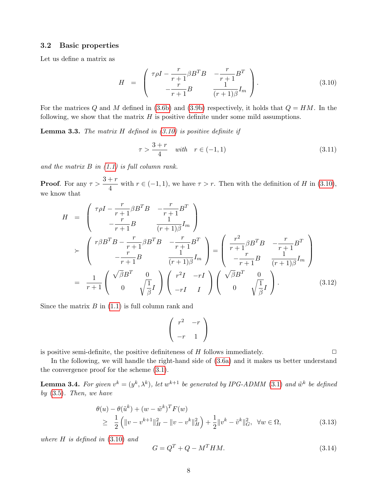#### 3.2 Basic properties

Let us define a matrix as

<span id="page-7-0"></span>
$$
H = \begin{pmatrix} \tau \rho I - \frac{r}{r+1} \beta B^T B & -\frac{r}{r+1} B^T \\ -\frac{r}{r+1} B & \frac{1}{(r+1)\beta} I_m \end{pmatrix}.
$$
 (3.10)

For the matrices Q and M defined in [\(3.6b\)](#page-5-6) and [\(3.9b\)](#page-6-3) respectively, it holds that  $Q = HM$ . In the following, we show that the matrix  $H$  is positive definite under some mild assumptions.

**Lemma 3.3.** The matrix  $H$  defined in  $(3.10)$  is positive definite if

<span id="page-7-4"></span>
$$
\tau > \frac{3+r}{4} \quad \text{with} \quad r \in (-1, 1) \tag{3.11}
$$

and the matrix  $B$  in  $(1.1)$  is full column rank.

**Proof.** For any  $\tau > \frac{3+r}{4}$  $\frac{1}{4}$  with  $r \in (-1, 1)$ , we have  $\tau > r$ . Then with the definition of H in [\(3.10\)](#page-7-0), we know that

$$
H = \begin{pmatrix} \tau \rho I - \frac{r}{r+1} \beta B^T B & -\frac{r}{r+1} B^T \\ -\frac{r}{r+1} B & \frac{1}{(r+1)\beta} I_m \end{pmatrix}
$$
  
\n
$$
\succ \begin{pmatrix} r \beta B^T B - \frac{r}{r+1} \beta B^T B & -\frac{r}{r+1} B^T \\ -\frac{r}{r+1} B & \frac{1}{(r+1)\beta} I_m \end{pmatrix} = \begin{pmatrix} \frac{r^2}{r+1} \beta B^T B & -\frac{r}{r+1} B^T \\ -\frac{r}{r+1} B & \frac{1}{(r+1)\beta} I_m \end{pmatrix}
$$
  
\n
$$
= \frac{1}{r+1} \begin{pmatrix} \sqrt{\beta} B^T & 0 \\ 0 & \sqrt{\frac{1}{\beta}} I \end{pmatrix} \begin{pmatrix} r^2 I & -rI \\ -rI & I \end{pmatrix} \begin{pmatrix} \sqrt{\beta} B^T & 0 \\ 0 & \sqrt{\frac{1}{\beta}} I \end{pmatrix} .
$$
 (3.12)

Since the matrix  $B$  in  $(1.1)$  is full column rank and

$$
\left(\begin{array}{cc}r^2 & -r\\-r & 1\end{array}\right)
$$

is positive semi-definite, the positive definiteness of  $H$  follows immediately.  $\Box$ 

In the following, we will handle the right-hand side of [\(3.6a\)](#page-5-5) and it makes us better understand the convergence proof for the scheme [\(3.1\)](#page-4-1).

<span id="page-7-3"></span>**Lemma 3.4.** For given  $v^k = (y^k, \lambda^k)$ , let  $w^{k+1}$  be generated by IPG-ADMM [\(3.1\)](#page-4-1) and  $\tilde{w}^k$  be defined by  $(3.5)$ . Then, we have

<span id="page-7-2"></span>
$$
\begin{aligned} \theta(u) - \theta(\tilde{u}^k) + (w - \tilde{w}^k)^T F(w) \\ &\geq \frac{1}{2} \left( \|v - v^{k+1}\|_H^2 - \|v - v^k\|_H^2 \right) + \frac{1}{2} \|v^k - \tilde{v}^k\|_G^2, \ \forall w \in \Omega, \end{aligned} \tag{3.13}
$$

where  $H$  is defined in  $(3.10)$  and

<span id="page-7-1"></span>
$$
G = Q^T + Q - M^T H M. \tag{3.14}
$$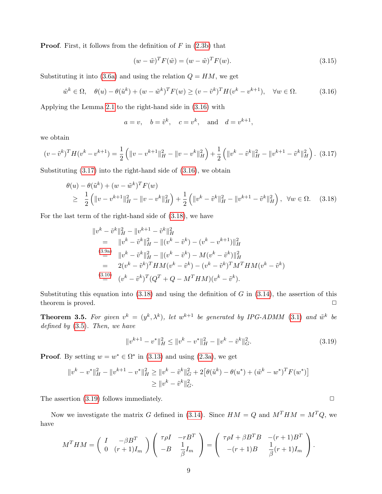**Proof.** First, it follows from the definition of  $F$  in  $(2.3b)$  that

<span id="page-8-5"></span>
$$
(w - \tilde{w})^T F(\tilde{w}) = (w - \tilde{w})^T F(w).
$$
\n
$$
(3.15)
$$

Substituting it into [\(3.6a\)](#page-5-5) and using the relation  $Q = HM$ , we get

<span id="page-8-0"></span>
$$
\tilde{w}^k \in \Omega, \quad \theta(u) - \theta(\tilde{u}^k) + (w - \tilde{w}^k)^T F(w) \ge (v - \tilde{v}^k)^T H(v^k - v^{k+1}), \quad \forall w \in \Omega.
$$
 (3.16)

Applying the Lemma [2.1](#page-3-3) to the right-hand side in [\(3.16\)](#page-8-0) with

$$
a = v
$$
,  $b = \tilde{v}^k$ ,  $c = v^k$ , and  $d = v^{k+1}$ ,

we obtain

<span id="page-8-1"></span>
$$
(v - \tilde{v}^k)^T H (v^k - v^{k+1}) = \frac{1}{2} \left( \|v - v^{k+1}\|_H^2 - \|v - v^k\|_H^2 \right) + \frac{1}{2} \left( \|v^k - \tilde{v}^k\|_H^2 - \|v^{k+1} - \tilde{v}^k\|_H^2 \right). \tag{3.17}
$$

Substituting [\(3.17\)](#page-8-1) into the right-hand side of [\(3.16\)](#page-8-0), we obtain

<span id="page-8-2"></span>
$$
\begin{aligned}\n\theta(u) - \theta(\tilde{u}^k) + (w - \tilde{w}^k)^T F(w) \\
\geq \frac{1}{2} \left( \|v - v^{k+1}\|_H^2 - \|v - v^k\|_H^2 \right) + \frac{1}{2} \left( \|v^k - \tilde{v}^k\|_H^2 - \|v^{k+1} - \tilde{v}^k\|_H^2 \right), \ \forall w \in \Omega. \quad (3.18)\n\end{aligned}
$$

For the last term of the right-hand side of [\(3.18\)](#page-8-2), we have

$$
\|v^{k} - \tilde{v}^{k}\|_{H}^{2} - \|v^{k+1} - \tilde{v}^{k}\|_{H}^{2}
$$
\n
$$
= \|v^{k} - \tilde{v}^{k}\|_{H}^{2} - \|v^{k} - \tilde{v}^{k}\|_{H}^{2}
$$
\n
$$
\overset{(3.9a)}{=} \|v^{k} - \tilde{v}^{k}\|_{H}^{2} - \|v^{k} - \tilde{v}^{k}\|_{H}^{2} - \|v^{k} - \tilde{v}^{k}\|_{H}^{2}
$$
\n
$$
= 2(v^{k} - \tilde{v}^{k})^{T} H M (v^{k} - \tilde{v}^{k}) - (v^{k} - \tilde{v}^{k})^{T} M^{T} H M (v^{k} - \tilde{v}^{k})
$$
\n
$$
\overset{(3.10)}{=} (v^{k} - \tilde{v}^{k})^{T} (Q^{T} + Q - M^{T} H M) (v^{k} - \tilde{v}^{k}).
$$

Substituting this equation into  $(3.18)$  and using the definition of G in  $(3.14)$ , the assertion of this theorem is proved.  $\Box$ 

<span id="page-8-4"></span>**Theorem 3.5.** For given  $v^k = (y^k, \lambda^k)$ , let  $w^{k+1}$  be generated by IPG-ADMM [\(3.1\)](#page-4-1) and  $\tilde{w}^k$  be defined by [\(3.5\)](#page-5-0). Then, we have

<span id="page-8-3"></span>
$$
||v^{k+1} - v^*||_H^2 \le ||v^k - v^*||_H^2 - ||v^k - \tilde{v}^k||_G^2.
$$
\n(3.19)

**Proof.** By setting  $w = w^* \in \Omega^*$  in [\(3.13\)](#page-7-2) and using [\(2.3a\)](#page-3-4), we get

$$
||v^k - v^*||_H^2 - ||v^{k+1} - v^*||_H^2 \ge ||v^k - \tilde{v}^k||_G^2 + 2[\theta(\tilde{u}^k) - \theta(u^*) + (\tilde{w}^k - w^*)^T F(w^*)]
$$
  
\n
$$
\ge ||v^k - \tilde{v}^k||_G^2.
$$

The assertion  $(3.19)$  follows immediately.  $\Box$ 

Now we investigate the matrix G defined in [\(3.14\)](#page-7-1). Since  $HM = Q$  and  $M<sup>T</sup>HM = M<sup>T</sup>Q$ , we have

$$
M^T H M = \begin{pmatrix} I & -\beta B^T \\ 0 & (r+1)I_m \end{pmatrix} \begin{pmatrix} \tau \rho I & -rB^T \\ -B & \frac{1}{\beta}I_m \end{pmatrix} = \begin{pmatrix} \tau \rho I + \beta B^T B & -(r+1)B^T \\ -(r+1)B & \frac{1}{\beta}(r+1)I_m \end{pmatrix}.
$$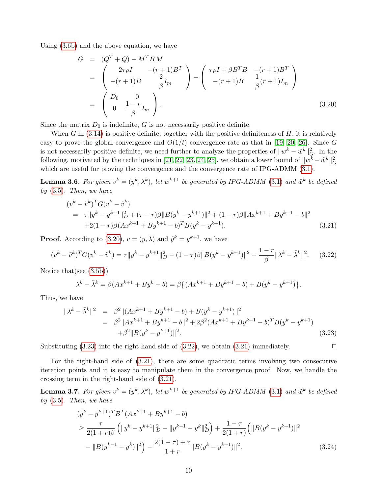Using [\(3.6b\)](#page-5-6) and the above equation, we have

<span id="page-9-0"></span>
$$
G = (Q^{T} + Q) - M^{T}HM
$$
  
=  $\begin{pmatrix} 2\tau\rho I & -(r+1)B^{T} \\ -(r+1)B & \frac{2}{\beta}I_{m} \end{pmatrix} - \begin{pmatrix} \tau\rho I + \beta B^{T}B & -(r+1)B^{T} \\ -(r+1)B & \frac{1}{\beta}(r+1)I_{m} \end{pmatrix}$   
=  $\begin{pmatrix} D_{0} & 0 \\ 0 & \frac{1-r}{\beta}I_{m} \end{pmatrix}$ . (3.20)

Since the matrix  $D_0$  is indefinite, G is not necessarily positive definite.

When G in  $(3.14)$  is positive definite, together with the positive definiteness of H, it is relatively easy to prove the global convergence and  $O(1/t)$  convergence rate as that in [\[19,](#page-21-14) [20,](#page-21-15) [26\]](#page-22-11). Since G is not necessarily positive definite, we need further to analyze the properties of  $||w^k - \tilde{w}^k||_G^2$ . In the following, motivated by the techniques in [\[21,](#page-22-9) [22,](#page-22-10) [23,](#page-22-12) [24,](#page-22-13) [25\]](#page-22-14), we obtain a lower bound of  $||w^k - \tilde{w}^k||_G^2$ which are useful for proving the convergence and the convergence rate of IPG-ADMM [\(3.1\)](#page-4-1).

**Lemma 3.6.** For given  $v^k = (y^k, \lambda^k)$ , let  $w^{k+1}$  be generated by IPG-ADMM [\(3.1\)](#page-4-1) and  $\tilde{w}^k$  be defined by  $(3.5)$ . Then, we have

<span id="page-9-3"></span>
$$
(v^{k} - \tilde{v}^{k})^{T} G (v^{k} - \tilde{v}^{k})
$$
  
=  $\tau ||y^{k} - y^{k+1}||_{D}^{2} + (\tau - r)\beta ||B(y^{k} - y^{k+1})||^{2} + (1 - r)\beta ||Ax^{k+1} + By^{k+1} - b||^{2}$   
+2(1 - r)\beta (Ax^{k+1} + By^{k+1} - b)^{T} B (y^{k} - y^{k+1}). \t(3.21)

**Proof.** According to [\(3.20\)](#page-9-0),  $v = (y, \lambda)$  and  $\tilde{y}^k = y^{k+1}$ , we have

<span id="page-9-2"></span>
$$
(v^k - \tilde{v}^k)^T G (v^k - \tilde{v}^k) = \tau \|y^k - y^{k+1}\|_D^2 - (1 - \tau)\beta \|B(y^k - y^{k+1})\|^2 + \frac{1 - r}{\beta} \|\lambda^k - \tilde{\lambda}^k\|^2. \tag{3.22}
$$

Notice that(see [\(3.5b\)](#page-5-2))

$$
\lambda^{k} - \tilde{\lambda}^{k} = \beta(Ax^{k+1} + By^{k} - b) = \beta\{(Ax^{k+1} + By^{k+1} - b) + B(y^{k} - y^{k+1})\}.
$$

Thus, we have

<span id="page-9-1"></span>
$$
\|\lambda^{k} - \tilde{\lambda}^{k}\|^{2} = \beta^{2} \|(Ax^{k+1} + By^{k+1} - b) + B(y^{k} - y^{k+1})\|^{2}
$$
  
=  $\beta^{2} \|Ax^{k+1} + By^{k+1} - b\|^{2} + 2\beta^{2} (Ax^{k+1} + By^{k+1} - b)^{T} B(y^{k} - y^{k+1})$   
+  $\beta^{2} \|B(y^{k} - y^{k+1})\|^{2}$ . (3.23)

Substituting  $(3.23)$  into the right-hand side of  $(3.22)$ , we obtain  $(3.21)$  immediately.

For the right-hand side of [\(3.21\)](#page-9-3), there are some quadratic terms involving two consecutive iteration points and it is easy to manipulate them in the convergence proof. Now, we handle the crossing term in the right-hand side of [\(3.21\)](#page-9-3).

**Lemma 3.7.** For given  $v^k = (y^k, \lambda^k)$ , let  $w^{k+1}$  be generated by IPG-ADMM [\(3.1\)](#page-4-1) and  $\tilde{w}^k$  be defined by  $(3.5)$ . Then, we have

<span id="page-9-4"></span>
$$
(y^{k} - y^{k+1})^{T} B^{T} (Ax^{k+1} + By^{k+1} - b)
$$
  
\n
$$
\geq \frac{\tau}{2(1+r)\beta} \left( \|y^{k} - y^{k+1}\|_{D}^{2} - \|y^{k-1} - y^{k}\|_{D}^{2} \right) + \frac{1-\tau}{2(1+r)} \left( \|B(y^{k} - y^{k+1})\|^{2} - \|B(y^{k-1} - y^{k})\|^{2} \right) - \frac{2(1-\tau) + r}{1+r} \|B(y^{k} - y^{k+1})\|^{2}.
$$
\n(3.24)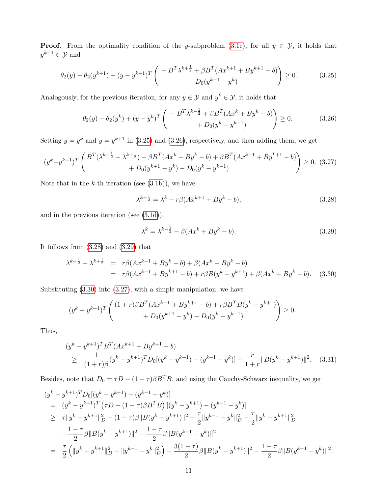**Proof.** From the optimality condition of the y-subproblem [\(3.1c\)](#page-4-1), for all  $y \in \mathcal{Y}$ , it holds that  $y^{k+1} \in \mathcal{Y}$  and

<span id="page-10-0"></span>
$$
\theta_2(y) - \theta_2(y^{k+1}) + (y - y^{k+1})^T \left( \begin{array}{c} -B^T \lambda^{k+\frac{1}{2}} + \beta B^T (Ax^{k+1} + By^{k+1} - b) \\ + D_0(y^{k+1} - y^k) \end{array} \right) \ge 0.
$$
 (3.25)

Analogously, for the previous iteration, for any  $y \in \mathcal{Y}$  and  $y^k \in \mathcal{Y}$ , it holds that

<span id="page-10-1"></span>
$$
\theta_2(y) - \theta_2(y^k) + (y - y^k)^T \begin{pmatrix} -B^T \lambda^{k - \frac{1}{2}} + \beta B^T (Ax^k + By^k - b) \\ + D_0(y^k - y^{k - 1}) \end{pmatrix} \ge 0.
$$
 (3.26)

Setting  $y = y^k$  and  $y = y^{k+1}$  in [\(3.25\)](#page-10-0) and [\(3.26\)](#page-10-1), respectively, and then adding them, we get

<span id="page-10-5"></span>
$$
(y^{k}-y^{k+1})^{T} \begin{pmatrix} B^{T}(\lambda^{k-\frac{1}{2}} - \lambda^{k+\frac{1}{2}}) - \beta B^{T}(Ax^{k} + By^{k} - b) + \beta B^{T}(Ax^{k+1} + By^{k+1} - b) \\ + D_{0}(y^{k+1} - y^{k}) - D_{0}(y^{k} - y^{k-1}) \end{pmatrix} \geq 0.
$$
 (3.27)

Note that in the  $k$ -th iteration (see  $(3.1b)$ ), we have

<span id="page-10-2"></span>
$$
\lambda^{k+\frac{1}{2}} = \lambda^k - r\beta(Ax^{k+1} + By^k - b),\tag{3.28}
$$

and in the previous iteration (see [\(3.1d\)](#page-4-1)),

<span id="page-10-3"></span>
$$
\lambda^{k} = \lambda^{k - \frac{1}{2}} - \beta(Ax^{k} + By^{k} - b).
$$
\n(3.29)

It follows from [\(3.28\)](#page-10-2) and [\(3.29\)](#page-10-3) that

<span id="page-10-4"></span>
$$
\lambda^{k-\frac{1}{2}} - \lambda^{k+\frac{1}{2}} = r\beta(Ax^{k+1} + By^k - b) + \beta(Ax^k + By^k - b)
$$
  
=  $r\beta(Ax^{k+1} + By^{k+1} - b) + r\beta(B(y^k - y^{k+1}) + \beta(Ax^k + By^k - b).$  (3.30)

Substituting [\(3.30\)](#page-10-4) into [\(3.27\)](#page-10-5), with a simple manipulation, we have

$$
(y^{k} - y^{k+1})^{T} \begin{pmatrix} (1+r)\beta B^{T}(Ax^{k+1} + By^{k+1} - b) + r\beta B^{T}B(y^{k} - y^{k+1}) \\ + D_{0}(y^{k+1} - y^{k}) - D_{0}(y^{k} - y^{k-1}) \end{pmatrix} \ge 0.
$$

Thus,

<span id="page-10-6"></span>
$$
(y^{k} - y^{k+1})^{T} B^{T} (Ax^{k+1} + By^{k+1} - b)
$$
  
\n
$$
\geq \frac{1}{(1+r)\beta} (y^{k} - y^{k+1})^{T} D_{0}[(y^{k} - y^{k+1}) - (y^{k-1} - y^{k})] - \frac{r}{1+r} ||B(y^{k} - y^{k+1})||^{2}.
$$
 (3.31)

Besides, note that  $D_0 = \tau D - (1 - \tau) \beta B^T B$ , and using the Cauchy-Schwarz inequality, we get

$$
(y^{k} - y^{k+1})^{T}D_{0}[(y^{k} - y^{k+1}) - (y^{k-1} - y^{k})]
$$
  
\n
$$
= (y^{k} - y^{k+1})^{T} (\tau D - (1 - \tau)\beta B^{T}B) [(y^{k} - y^{k+1}) - (y^{k-1} - y^{k})]
$$
  
\n
$$
\geq \tau ||y^{k} - y^{k+1}||_{D}^{2} - (1 - \tau)\beta ||B(y^{k} - y^{k+1})||^{2} - \frac{\tau}{2} ||y^{k-1} - y^{k}||_{D}^{2} - \frac{\tau}{2} ||y^{k} - y^{k+1}||_{D}^{2}
$$
  
\n
$$
- \frac{1 - \tau}{2} \beta ||B(y^{k} - y^{k+1})||^{2} - \frac{1 - \tau}{2} \beta ||B(y^{k-1} - y^{k})||^{2}
$$
  
\n
$$
= \frac{\tau}{2} (||y^{k} - y^{k+1}||_{D}^{2} - ||y^{k-1} - y^{k}||_{D}^{2}) - \frac{3(1 - \tau)}{2} \beta ||B(y^{k} - y^{k+1})||^{2} - \frac{1 - \tau}{2} \beta ||B(y^{k-1} - y^{k})||^{2}.
$$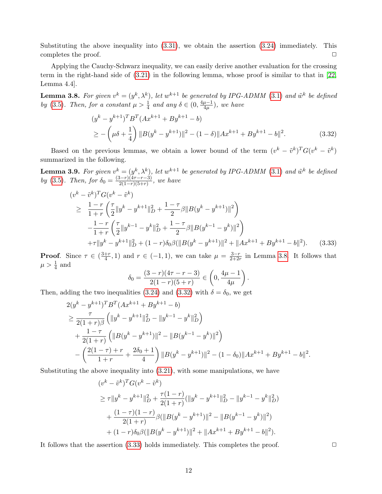Substituting the above inequality into  $(3.31)$ , we obtain the assertion  $(3.24)$  immediately. This completes the proof.  $\Box$ 

Applying the Cauchy-Schwarz inequality, we can easily derive another evaluation for the crossing term in the right-hand side of [\(3.21\)](#page-9-3) in the following lemma, whose proof is similar to that in [\[22,](#page-22-10) Lemma 4.4].

<span id="page-11-0"></span>**Lemma 3.8.** For given  $v^k = (y^k, \lambda^k)$ , let  $w^{k+1}$  be generated by IPG-ADMM [\(3.1\)](#page-4-1) and  $\tilde{w}^k$  be defined by [\(3.5\)](#page-5-0). Then, for a constant  $\mu > \frac{1}{4}$  and any  $\delta \in (0, \frac{4\mu - 1}{4\mu})$  $\frac{\mu-1}{4\mu}$ ), we have

<span id="page-11-1"></span>
$$
(y^{k} - y^{k+1})^{T} B^{T} (Ax^{k+1} + By^{k+1} - b)
$$
  
\n
$$
\ge -\left(\mu \delta + \frac{1}{4}\right) \|B(y^{k} - y^{k+1})\|^{2} - (1 - \delta) \|Ax^{k+1} + By^{k+1} - b\|^{2}.
$$
\n(3.32)

Based on the previous lemmas, we obtain a lower bound of the term  $(v^k - \tilde{v}^k)^T G (v^k - \tilde{v}^k)$ summarized in the following.

<span id="page-11-3"></span>**Lemma 3.9.** For given  $v^k = (y^k, \lambda^k)$ , let  $w^{k+1}$  be generated by IPG-ADMM [\(3.1\)](#page-4-1) and  $\tilde{w}^k$  be defined by [\(3.5\)](#page-5-0). Then, for  $\delta_0 = \frac{(3-r)(4\tau-r-3)}{2(1-r)(5+r)}$  $\frac{(3-r)(4r-r-3)}{2(1-r)(5+r)}$ , we have

<span id="page-11-2"></span>
$$
(v^{k} - \tilde{v}^{k})^{T} G (v^{k} - \tilde{v}^{k})
$$
\n
$$
\geq \frac{1 - r}{1 + r} \left( \frac{\tau}{2} \| y^{k} - y^{k+1} \|_{D}^{2} + \frac{1 - \tau}{2} \beta \| B(y^{k} - y^{k+1}) \|^{2} \right)
$$
\n
$$
- \frac{1 - r}{1 + r} \left( \frac{\tau}{2} \| y^{k-1} - y^{k} \|_{D}^{2} + \frac{1 - \tau}{2} \beta \| B(y^{k-1} - y^{k}) \|^{2} \right)
$$
\n
$$
+ \tau \| y^{k} - y^{k+1} \|_{D}^{2} + (1 - r) \delta_{0} \beta (\| B(y^{k} - y^{k+1}) \|^{2} + \| Ax^{k+1} + By^{k+1} - b \|^{2}). \tag{3.33}
$$

**Proof.** Since  $\tau \in \left(\frac{3+r}{4}\right)$  $\frac{+r}{4}$ , 1) and  $r \in (-1,1)$ , we can take  $\mu = \frac{3-r}{2+2r}$  $\frac{3-r}{2+2r}$  in Lemma [3.8.](#page-11-0) It follows that  $\mu > \frac{1}{4}$  and

$$
\delta_0 = \frac{(3-r)(4r-r-3)}{2(1-r)(5+r)} \in \left(0, \frac{4\mu-1}{4\mu}\right).
$$

Then, adding the two inequalities [\(3.24\)](#page-9-4) and [\(3.32\)](#page-11-1) with  $\delta = \delta_0$ , we get

$$
2(y^{k} - y^{k+1})^{T} B^{T} (Ax^{k+1} + By^{k+1} - b)
$$
  
\n
$$
\geq \frac{\tau}{2(1+r)\beta} \left( \|y^{k} - y^{k+1}\|_{D}^{2} - \|y^{k-1} - y^{k}\|_{D}^{2} \right)
$$
  
\n
$$
+ \frac{1-\tau}{2(1+r)} \left( \|B(y^{k} - y^{k+1})\|^{2} - \|B(y^{k-1} - y^{k})\|^{2} \right)
$$
  
\n
$$
- \left( \frac{2(1-\tau) + r}{1+r} + \frac{2\delta_{0}+1}{4} \right) \|B(y^{k} - y^{k+1})\|^{2} - (1-\delta_{0}) \|Ax^{k+1} + By^{k+1} - b\|^{2}.
$$

Substituting the above inequality into [\(3.21\)](#page-9-3), with some manipulations, we have

$$
(v^{k} - \tilde{v}^{k})^{T} G (v^{k} - \tilde{v}^{k})
$$
  
\n
$$
\geq \tau \|y^{k} - y^{k+1}\|_{D}^{2} + \frac{\tau(1-r)}{2(1+r)} (\|y^{k} - y^{k+1}\|_{D}^{2} - \|y^{k-1} - y^{k}\|_{D}^{2})
$$
  
\n
$$
+ \frac{(1-\tau)(1-r)}{2(1+r)} \beta (\|B(y^{k} - y^{k+1})\|^{2} - \|B(y^{k-1} - y^{k})\|^{2})
$$
  
\n
$$
+ (1-r)\delta_{0}\beta (\|B(y^{k} - y^{k+1})\|^{2} + \|Ax^{k+1} + By^{k+1} - b\|^{2}).
$$

It follows that the assertion  $(3.33)$  holds immediately. This completes the proof.  $\Box$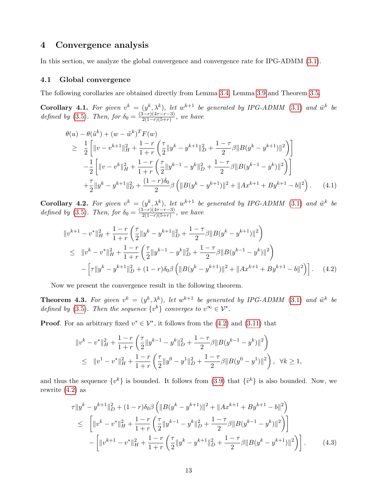## <span id="page-12-0"></span>4 Convergence analysis

In this section, we analyze the global convergence and convergence rate for IPG-ADMM [\(3.1\)](#page-4-1).

#### 4.1 Global convergence

The following corollaries are obtained directly from Lemma [3.4,](#page-7-3) Lemma [3.9](#page-11-3) and Theorem [3.5.](#page-8-4)

<span id="page-12-3"></span>**Corollary 4.1.** For given  $v^k = (y^k, \lambda^k)$ , let  $w^{k+1}$  be generated by IPG-ADMM [\(3.1\)](#page-4-1) and  $\tilde{w}^k$  be defined by [\(3.5\)](#page-5-0). Then, for  $\delta_0 = \frac{(3-r)(4r-r-3)}{2(1-r)(5+r)}$  $\frac{2(1-r)(4r-r-3)}{2(1-r)(5+r)},$  we have

<span id="page-12-4"></span>
$$
\theta(u) - \theta(\tilde{u}^{k}) + (w - \tilde{w}^{k})^{T} F(w)
$$
\n
$$
\geq \frac{1}{2} \left[ \|v - v^{k+1}\|_{H}^{2} + \frac{1-r}{1+r} \left( \frac{\tau}{2} \|y^{k} - y^{k+1}\|_{D}^{2} + \frac{1-\tau}{2} \beta \|B(y^{k} - y^{k+1})\|^{2} \right) \right]
$$
\n
$$
- \frac{1}{2} \left[ \|v - v^{k}\|_{H}^{2} + \frac{1-r}{1+r} \left( \frac{\tau}{2} \|y^{k-1} - y^{k}\|_{D}^{2} + \frac{1-\tau}{2} \beta \|B(y^{k-1} - y^{k})\|^{2} \right) \right]
$$
\n
$$
+ \frac{\tau}{2} \|y^{k} - y^{k+1}\|_{D}^{2} + \frac{(1-r)\delta_{0}}{2} \beta \left( \|B(y^{k} - y^{k+1})\|^{2} + \|Ax^{k+1} + By^{k+1} - b\|^{2} \right). \tag{4.1}
$$

**Corollary 4.2.** For given  $v^k = (y^k, \lambda^k)$ , let  $w^{k+1}$  be generated by IPG-ADMM [\(3.1\)](#page-4-1) and  $\tilde{w}^k$  be defined by [\(3.5\)](#page-5-0). Then, for  $\delta_0 = \frac{(3-r)(4r-r-3)}{2(1-r)(5+r)}$  $\frac{2(1-r)(4r-r-3)}{2(1-r)(5+r)},$  we have

<span id="page-12-1"></span>
$$
\|v^{k+1} - v^*\|_H^2 + \frac{1-r}{1+r} \left(\frac{\tau}{2} \|y^k - y^{k+1}\|_D^2 + \frac{1-\tau}{2} \beta \|B(y^k - y^{k+1})\|^2\right)
$$
  
\n
$$
\leq \|v^k - v^*\|_H^2 + \frac{1-r}{1+r} \left(\frac{\tau}{2} \|y^{k-1} - y^k\|_D^2 + \frac{1-\tau}{2} \beta \|B(y^{k-1} - y^k)\|^2\right)
$$
  
\n
$$
- \left[\tau \|y^k - y^{k+1}\|_D^2 + (1-r)\delta_0 \beta \left(\|B(y^k - y^{k+1})\|^2 + \|Ax^{k+1} + By^{k+1} - b\|^2\right)\right]. \tag{4.2}
$$

Now we present the convergence result in the following theorem.

**Theorem 4.3.** For given  $v^k = (y^k, \lambda^k)$ , let  $w^{k+1}$  be generated by IPG-ADMM [\(3.1\)](#page-4-1) and  $\tilde{w}^k$  be defined by [\(3.5\)](#page-5-0). Then the sequence  $\{v^k\}$  converges to  $v^{\infty} \in \mathcal{V}^*$ .

**Proof.** For an arbitrary fixed  $v^* \in \mathcal{V}^*$ , it follows from the [\(4.2\)](#page-12-1) and [\(3.11\)](#page-7-4) that

$$
\|v^{k} - v^{*}\|_{H}^{2} + \frac{1-r}{1+r} \left( \frac{\tau}{2} \|y^{k-1} - y^{k}\|_{D}^{2} + \frac{1-\tau}{2} \beta \|B(y^{k-1} - y^{k})\|^{2} \right)
$$
  
\n
$$
\leq \|v^{1} - v^{*}\|_{H}^{2} + \frac{1-r}{1+r} \left( \frac{\tau}{2} \|y^{0} - y^{1}\|_{D}^{2} + \frac{1-\tau}{2} \beta \|B(y^{0} - y^{1})\|^{2} \right), \ \forall k \geq 1,
$$

and thus the sequence  $\{v^k\}$  is bounded. It follows from [\(3.9\)](#page-6-2) that  $\{\tilde{v}^k\}$  is also bounded. Now, we rewrite  $(4.2)$  as

<span id="page-12-2"></span>
$$
\tau \|y^{k} - y^{k+1}\|_{D}^{2} + (1 - r)\delta_{0}\beta \left( \|B(y^{k} - y^{k+1})\|^{2} + \|Ax^{k+1} + By^{k+1} - b\|^{2} \right) \n\leq \left[ \|v^{k} - v^{*}\|_{H}^{2} + \frac{1 - r}{1 + r} \left( \frac{\tau}{2} \|y^{k-1} - y^{k}\|_{D}^{2} + \frac{1 - \tau}{2} \beta \|B(y^{k-1} - y^{k})\|^{2} \right) \right] \n- \left[ \|v^{k+1} - v^{*}\|_{H}^{2} + \frac{1 - r}{1 + r} \left( \frac{\tau}{2} \|y^{k} - y^{k+1}\|_{D}^{2} + \frac{1 - \tau}{2} \beta \|B(y^{k} - y^{k+1})\|^{2} \right) \right]. \tag{4.3}
$$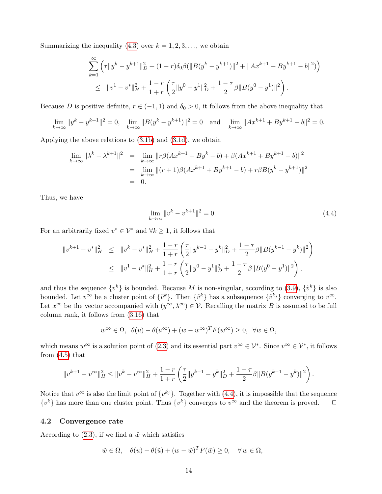Summarizing the inequality [\(4.3\)](#page-12-2) over  $k = 1, 2, 3, \ldots$ , we obtain

$$
\sum_{k=1}^{\infty} \left( \tau \|y^k - y^{k+1}\|_D^2 + (1 - r)\delta_0 \beta (\|B(y^k - y^{k+1})\|^2 + \|Ax^{k+1} + By^{k+1} - b\|^2) \right)
$$
  

$$
\leq \|v^1 - v^*\|_H^2 + \frac{1 - r}{1 + r} \left( \frac{\tau}{2} \|y^0 - y^1\|_D^2 + \frac{1 - \tau}{2} \beta \|B(y^0 - y^1)\|^2 \right).
$$

Because D is positive definite,  $r \in (-1, 1)$  and  $\delta_0 > 0$ , it follows from the above inequality that

$$
\lim_{k \to \infty} \|y^k - y^{k+1}\|^2 = 0, \quad \lim_{k \to \infty} \|B(y^k - y^{k+1})\|^2 = 0 \quad \text{and} \quad \lim_{k \to \infty} \|Ax^{k+1} + By^{k+1} - b\|^2 = 0.
$$

Applying the above relations to [\(3.1b\)](#page-4-1) and [\(3.1d\)](#page-4-1), we obtain

$$
\lim_{k \to \infty} \|\lambda^k - \lambda^{k+1}\|^2 = \lim_{k \to \infty} \|r\beta(Ax^{k+1} + By^k - b) + \beta(Ax^{k+1} + By^{k+1} - b)\|^2
$$
  
= 
$$
\lim_{k \to \infty} \|(r+1)\beta(Ax^{k+1} + By^{k+1} - b) + r\beta B(y^k - y^{k+1})\|^2
$$
  
= 0.

Thus, we have

<span id="page-13-1"></span>
$$
\lim_{k \to \infty} \|v^k - v^{k+1}\|^2 = 0.
$$
\n(4.4)

For an arbitrarily fixed  $v^* \in \mathcal{V}^*$  and  $\forall k \geq 1$ , it follows that

<span id="page-13-0"></span>
$$
||v^{k+1} - v^*||_H^2 \le ||v^k - v^*||_H^2 + \frac{1-r}{1+r} \left( \frac{\tau}{2} ||y^{k-1} - y^k||_D^2 + \frac{1-\tau}{2} \beta ||B(y^{k-1} - y^k)||^2 \right)
$$
  

$$
\le ||v^1 - v^*||_H^2 + \frac{1-r}{1+r} \left( \frac{\tau}{2} ||y^0 - y^1||_D^2 + \frac{1-\tau}{2} \beta ||B(y^0 - y^1)||^2 \right),
$$

and thus the sequence  $\{v^k\}$  is bounded. Because M is non-singular, according to [\(3.9\)](#page-6-2),  $\{\tilde{v}^k\}$  is also bounded. Let  $v^{\infty}$  be a cluster point of  $\{\tilde{v}^k\}$ . Then  $\{\tilde{v}^k\}$  has a subsequence  $\{\tilde{v}^{k_j}\}$  converging to  $v^{\infty}$ . Let  $x^{\infty}$  be the vector accompanied with  $(y^{\infty}, \lambda^{\infty}) \in \mathcal{V}$ . Recalling the matrix B is assumed to be full column rank, it follows from [\(3.16\)](#page-8-0) that

$$
w^{\infty} \in \Omega, \ \ \theta(u) - \theta(u^{\infty}) + (w - w^{\infty})^T F(w^{\infty}) \ge 0, \ \ \forall w \in \Omega,
$$

which means  $w^{\infty}$  is a solution point of [\(2.3\)](#page-3-2) and its essential part  $v^{\infty} \in \mathcal{V}^*$ . Since  $v^{\infty} \in \mathcal{V}^*$ , it follows from  $(4.5)$  that

$$
||v^{k+1} - v^{\infty}||_H^2 \le ||v^k - v^{\infty}||_H^2 + \frac{1-r}{1+r} \left( \frac{\tau}{2} ||y^{k-1} - y^k||_D^2 + \frac{1-\tau}{2} \beta ||B(y^{k-1} - y^k)||^2 \right).
$$

Notice that  $v^{\infty}$  is also the limit point of  $\{v^{k_j}\}\$ . Together with [\(4.4\)](#page-13-1), it is impossible that the sequence  $\{v^k\}$  has more than one cluster point. Thus  $\{v^k\}$  converges to  $v^{\infty}$  and the theorem is proved.  $\Box$ 

#### 4.2 Convergence rate

According to [\(2.3\)](#page-3-2), if we find a  $\tilde{w}$  which satisfies

$$
\tilde{w} \in \Omega, \quad \theta(u) - \theta(\tilde{u}) + (w - \tilde{w})^T F(\tilde{w}) \ge 0, \quad \forall w \in \Omega,
$$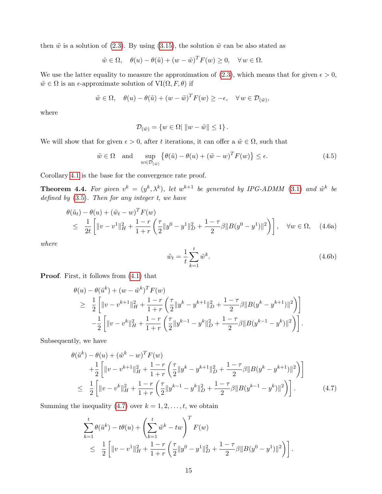then  $\tilde{w}$  is a solution of [\(2.3\)](#page-3-2). By using [\(3.15\)](#page-8-5), the solution  $\tilde{w}$  can be also stated as

$$
\tilde{w} \in \Omega, \quad \theta(u) - \theta(\tilde{u}) + (w - \tilde{w})^T F(w) \ge 0, \quad \forall w \in \Omega.
$$

We use the latter equality to measure the approximation of [\(2.3\)](#page-3-2), which means that for given  $\epsilon > 0$ ,  $\tilde{w} \in \Omega$  is an  $\epsilon$ -approximate solution of  $VI(\Omega, F, \theta)$  if

$$
\tilde{w} \in \Omega, \quad \theta(u) - \theta(\tilde{u}) + (w - \tilde{w})^T F(w) \ge -\epsilon, \quad \forall w \in \mathcal{D}_{(\tilde{w})},
$$

where

$$
\mathcal{D}_{(\tilde{w})} = \{ w \in \Omega \mid ||w - \tilde{w}|| \le 1 \}.
$$

We will show that for given  $\epsilon > 0$ , after t iterations, it can offer a  $\tilde{w} \in \Omega$ , such that

$$
\tilde{w} \in \Omega \quad \text{and} \quad \sup_{w \in \mathcal{D}_{(\tilde{w})}} \left\{ \theta(\tilde{u}) - \theta(u) + (\tilde{w} - w)^T F(w) \right\} \le \epsilon.
$$
\n(4.5)

Corollary [4.1](#page-12-3) is the base for the convergence rate proof.

**Theorem 4.4.** For given  $v^k = (y^k, \lambda^k)$ , let  $w^{k+1}$  be generated by IPG-ADMM [\(3.1\)](#page-4-1) and  $\tilde{w}^k$  be defined by  $(3.5)$ . Then for any integer t, we have

<span id="page-14-2"></span>
$$
\begin{aligned}\n\theta(\tilde{u}_t) - \theta(u) + (\tilde{w}_t - w)^T F(w) \\
&\leq \frac{1}{2t} \left[ \|v - v^1\|_H^2 + \frac{1 - r}{1 + r} \left( \frac{\tau}{2} \|y^0 - y^1\|_D^2 + \frac{1 - \tau}{2} \beta \|B(y^0 - y^1)\|^2 \right) \right], \quad \forall w \in \Omega, \quad (4.6a)\n\end{aligned}
$$

where

<span id="page-14-1"></span>
$$
\tilde{w}_t = \frac{1}{t} \sum_{k=1}^t \tilde{w}^k.
$$
\n(4.6b)

Proof. First, it follows from [\(4.1\)](#page-12-4) that

$$
\theta(u) - \theta(\tilde{u}^{k}) + (w - \tilde{w}^{k})^{T} F(w)
$$
\n
$$
\geq \frac{1}{2} \left[ \|v - v^{k+1}\|_{H}^{2} + \frac{1-r}{1+r} \left( \frac{\tau}{2} \|y^{k} - y^{k+1}\|_{D}^{2} + \frac{1-\tau}{2} \beta \|B(y^{k} - y^{k+1})\|^{2} \right) \right]
$$
\n
$$
- \frac{1}{2} \left[ \|v - v^{k}\|_{H}^{2} + \frac{1-r}{1+r} \left( \frac{\tau}{2} \|y^{k-1} - y^{k}\|_{D}^{2} + \frac{1-\tau}{2} \beta \|B(y^{k-1} - y^{k})\|^{2} \right) \right].
$$

Subsequently, we have

<span id="page-14-0"></span>
$$
\theta(\tilde{u}^{k}) - \theta(u) + (\tilde{w}^{k} - w)^{T} F(w) \n+ \frac{1}{2} \left[ \|v - v^{k+1}\|_{H}^{2} + \frac{1-r}{1+r} \left( \frac{\tau}{2} \|y^{k} - y^{k+1}\|_{D}^{2} + \frac{1-\tau}{2} \beta \|B(y^{k} - y^{k+1})\|^{2} \right) \right] \n\leq \frac{1}{2} \left[ \|v - v^{k}\|_{H}^{2} + \frac{1-r}{1+r} \left( \frac{\tau}{2} \|y^{k-1} - y^{k}\|_{D}^{2} + \frac{1-\tau}{2} \beta \|B(y^{k-1} - y^{k})\|^{2} \right) \right].
$$
\n(4.7)

Summing the inequality [\(4.7\)](#page-14-0) over  $k = 1, 2, \ldots, t$ , we obtain

$$
\sum_{k=1}^{t} \theta(\tilde{u}^{k}) - t\theta(u) + \left(\sum_{k=1}^{t} \tilde{w}^{k} - tw\right)^{T} F(w)
$$
\n
$$
\leq \frac{1}{2} \left[ \|v - v^{1}\|_{H}^{2} + \frac{1-r}{1+r} \left(\frac{\tau}{2} \|y^{0} - y^{1}\|_{D}^{2} + \frac{1-\tau}{2} \beta \|B(y^{0} - y^{1})\|^{2}\right) \right].
$$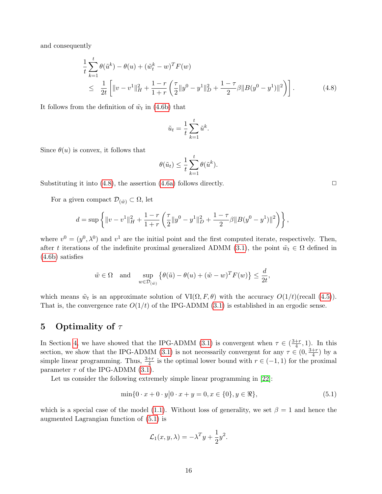and consequently

<span id="page-15-1"></span>
$$
\frac{1}{t} \sum_{k=1}^{t} \theta(\tilde{u}^{k}) - \theta(u) + (\tilde{w}_{t}^{k} - w)^{T} F(w)
$$
\n
$$
\leq \frac{1}{2t} \left[ \|v - v^{1}\|_{H}^{2} + \frac{1 - r}{1 + r} \left( \frac{\tau}{2} \|y^{0} - y^{1}\|_{D}^{2} + \frac{1 - \tau}{2} \beta \|B(y^{0} - y^{1})\|^{2} \right) \right].
$$
\n(4.8)

It follows from the definition of  $\tilde{w}_t$  in [\(4.6b\)](#page-14-1) that

$$
\tilde{u}_t = \frac{1}{t} \sum_{k=1}^t \tilde{u}^k.
$$

Since  $\theta(u)$  is convex, it follows that

$$
\theta(\tilde{u}_t) \leq \frac{1}{t} \sum_{k=1}^t \theta(\tilde{u}^k).
$$

Substituting it into  $(4.8)$ , the assertion  $(4.6a)$  follows directly.  $\Box$ 

For a given compact  $\mathcal{D}_{(\tilde{w})} \subset \Omega$ , let

$$
d = \sup \left\{ ||v - v^1||_H^2 + \frac{1 - r}{1 + r} \left( \frac{\tau}{2} ||y^0 - y^1||_D^2 + \frac{1 - \tau}{2} \beta ||B(y^0 - y^1)||^2 \right) \right\},\
$$

where  $v^0 = (y^0, \lambda^0)$  and  $v^1$  are the initial point and the first computed iterate, respectively. Then, after t iterations of the indefinite proximal generalized ADMM [\(3.1\)](#page-4-1), the point  $\tilde{w}_t \in \Omega$  defined in [\(4.6b\)](#page-14-1) satisfies

$$
\tilde{w} \in \Omega
$$
 and  $\sup_{w \in \mathcal{D}_{(\tilde{w})}} \{ \theta(\tilde{u}) - \theta(u) + (\tilde{w} - w)^T F(w) \} \le \frac{d}{2t},$ 

which means  $\tilde{w}_t$  is an approximate solution of  $VI(\Omega, F, \theta)$  with the accuracy  $O(1/t)$ (recall [\(4.5\)](#page-13-0)). That is, the convergence rate  $O(1/t)$  of the IPG-ADMM [\(3.1\)](#page-4-1) is established in an ergodic sense.

# <span id="page-15-0"></span>5 Optimality of  $\tau$

In Section [4,](#page-12-0) we have showed that the IPG-ADMM [\(3.1\)](#page-4-1) is convergent when  $\tau \in (\frac{3+r}{4})$  $\frac{+r}{4}$ , 1). In this section, we show that the IPG-ADMM [\(3.1\)](#page-4-1) is not necessarily convergent for any  $\tau \in (0, \frac{3+r}{4})$  $\frac{+r}{4}$ ) by a simple linear programming. Thus,  $\frac{3+r}{4}$  is the optimal lower bound with  $r \in (-1,1)$  for the proximal parameter  $\tau$  of the IPG-ADMM [\(3.1\)](#page-4-1).

Let us consider the following extremely simple linear programming in [\[22\]](#page-22-10):

<span id="page-15-2"></span>
$$
\min\{0 \cdot x + 0 \cdot y | 0 \cdot x + y = 0, x \in \{0\}, y \in \Re\},\tag{5.1}
$$

which is a special case of the model [\(1.1\)](#page-0-3). Without loss of generality, we set  $\beta = 1$  and hence the augmented Lagrangian function of [\(5.1\)](#page-15-2) is

$$
\mathcal{L}_1(x, y, \lambda) = -\lambda^T y + \frac{1}{2}y^2.
$$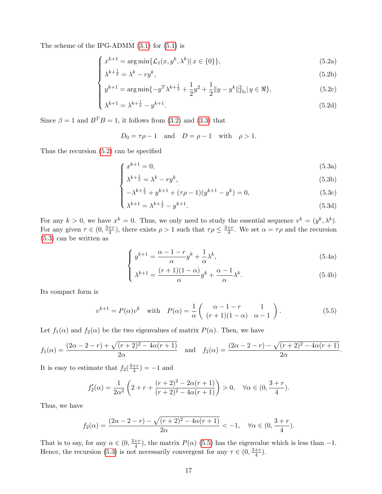The scheme of the IPG-ADMM [\(3.1\)](#page-4-1) for [\(5.1\)](#page-15-2) is

<span id="page-16-0"></span>
$$
\int x^{k+1} = \arg\min\{\mathcal{L}_1(x, y^k, \lambda^k) | x \in \{0\}\},\tag{5.2a}
$$

$$
\lambda^{k+\frac{1}{2}} = \lambda^k - ry^k,
$$
\n(5.2b)

$$
y^{k+1} = \arg\min\{-y^T \lambda^{k+\frac{1}{2}} + \frac{1}{2}y^2 + \frac{1}{2}||y - y^k||_{D_0}^2 | y \in \Re\},\tag{5.2c}
$$

$$
\begin{cases}\ny^{-1} = \arg \min \{-y \cdot \lambda^{-1} z + \frac{1}{2} y + \frac{1}{2} \|y - y^*\|_{D_0} \|y \in \pi\}, \\
\lambda^{k+1} = \lambda^{k+\frac{1}{2}} - y^{k+1}.\n\end{cases} \tag{5.2d}
$$

Since  $\beta = 1$  and  $B^T B = 1$ , it follows from [\(3.2\)](#page-4-3) and [\(3.3\)](#page-4-4) that

<span id="page-16-1"></span>
$$
D_0 = \tau \rho - 1 \quad \text{and} \quad D = \rho - 1 \quad \text{with} \quad \rho > 1.
$$

Thus the recursion [\(5.2\)](#page-16-0) can be specified

$$
\int x^{k+1} = 0,\tag{5.3a}
$$

$$
\lambda^{k+\frac{1}{2}} = \lambda^k - ry^k,
$$
\n(5.3b)

$$
-\lambda^{k+\frac{1}{2}} + y^{k+1} + (\tau \rho - 1)(y^{k+1} - y^k) = 0,
$$
\n(5.3c)

$$
\begin{cases}\n-\lambda^{k+2} + y^{k+1} + (\tau \rho - 1)(y^{k+1} - y^k) = 0, & (5.3c) \\
\lambda^{k+1} = \lambda^{k+\frac{1}{2}} - y^{k+1}.\n\end{cases}
$$
\n(5.3d)

For any  $k > 0$ , we have  $x^k = 0$ . Thus, we only need to study the essential sequence  $v^k = (y^k, \lambda^k)$ . For any given  $\tau \in (0, \frac{3+r}{4})$  $\frac{+r}{4}$ ), there exists  $\rho > 1$  such that  $\tau \rho \leq \frac{3+r}{4}$  $\frac{+r}{4}$ . We set  $\alpha = \tau \rho$  and the recursion [\(5.3\)](#page-16-1) can be written as

$$
\int y^{k+1} = \frac{\alpha - 1 - r}{\alpha} y^k + \frac{1}{\alpha} \lambda^k,
$$
\n(5.4a)

$$
\lambda^{k+1} = \frac{(r+1)(1-\alpha)}{\alpha}y^k + \frac{\alpha-1}{\alpha}\lambda^k.
$$
\n(5.4b)

.

Its compact form is

<span id="page-16-2"></span>
$$
v^{k+1} = P(\alpha)v^k \quad \text{with} \quad P(\alpha) = \frac{1}{\alpha} \begin{pmatrix} \alpha - 1 - r & 1\\ (r+1)(1-\alpha) & \alpha - 1 \end{pmatrix}.
$$
 (5.5)

Let  $f_1(\alpha)$  and  $f_2(\alpha)$  be the two eigenvalues of matrix  $P(\alpha)$ . Then, we have

$$
f_1(\alpha) = \frac{(2\alpha - 2 - r) + \sqrt{(r+2)^2 - 4\alpha(r+1)}}{2\alpha}
$$
 and  $f_2(\alpha) = \frac{(2\alpha - 2 - r) - \sqrt{(r+2)^2 - 4\alpha(r+1)}}{2\alpha}$ 

It is easy to estimate that  $f_2(\frac{3+r}{4})$  $\frac{+r}{4}) = -1$  and

$$
f_2'(\alpha) = \frac{1}{2\alpha^2} \left( 2 + r + \frac{(r+2)^2 - 2\alpha(r+1)}{(r+2)^2 - 4\alpha(r+1)} \right) > 0, \quad \forall \alpha \in (0, \frac{3+r}{4}).
$$

Thus, we have

$$
f_2(\alpha) = \frac{(2\alpha - 2 - r) - \sqrt{(r+2)^2 - 4\alpha(r+1)}}{2\alpha} < -1, \quad \forall \alpha \in (0, \frac{3+r}{4}).
$$

That is to say, for any  $\alpha \in (0, \frac{3+r}{4})$  $\frac{+r}{4}$ ), the matrix  $P(\alpha)$  [\(5.5\)](#page-16-2) has the eigenvalue which is less than -1. Hence, the recursion [\(5.3\)](#page-16-1) is not necessarily convergent for any  $\tau \in (0, \frac{3+r}{4})$  $\frac{+r}{4}$ ).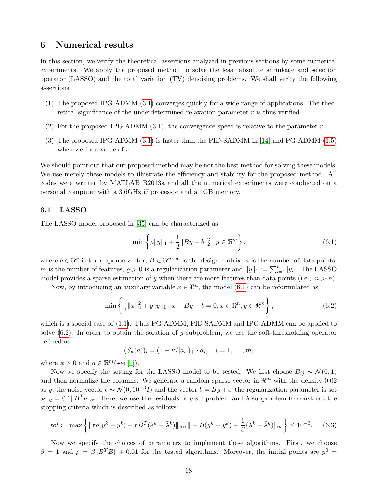### <span id="page-17-0"></span>6 Numerical results

In this section, we verify the theoretical assertions analyzed in previous sections by some numerical experiments. We apply the proposed method to solve the least absolute shrinkage and selection operator (LASSO) and the total variation (TV) denoising problems. We shall verify the following assertions.

- (1) The proposed IPG-ADMM [\(3.1\)](#page-4-1) converges quickly for a wide range of applications. The theoretical significance of the underdetermined relaxation parameter  $r$  is thus verified.
- (2) For the proposed IPG-ADMM [\(3.1\)](#page-4-1), the convergence speed is relative to the parameter  $r$ .
- (3) The proposed IPG-ADMM [\(3.1\)](#page-4-1) is faster than the PID-SADMM in [\[14\]](#page-21-13) and PG-ADMM [\(1.5\)](#page-1-2) when we fix a value of  $r$ .

We should point out that our proposed method may be not the best method for solving these models. We use merely these models to illustrate the efficiency and stability for the proposed method. All codes were written by MATLAB R2013a and all the numerical experiments were conducted on a personal computer with a 3.6GHz i7 processor and a 4GB memory.

#### 6.1 LASSO

The LASSO model proposed in [\[35\]](#page-22-2) can be characterized as

<span id="page-17-1"></span>
$$
\min\left\{\varrho\|y\|_1 + \frac{1}{2}\|By - b\|_2^2 \mid y \in \Re^m\right\}.
$$
\n(6.1)

where  $b \in \mathbb{R}^n$  is the response vector,  $B \in \mathbb{R}^{n \times m}$  is the design matrix, n is the number of data points, m is the number of features,  $\rho > 0$  is a regularization parameter and  $||y||_1 := \sum_{i=1}^n |y_i|$ . The LASSO model provides a sparse estimation of y when there are more features than data points (i.e.,  $m > n$ ).

Now, by introducing an auxiliary variable  $x \in \mathbb{R}^n$ , the model [\(6.1\)](#page-17-1) can be reformulated as

<span id="page-17-2"></span>
$$
\min\left\{\frac{1}{2}\|x\|_{2}^{2} + \varrho\|y\|_{1} \mid x - By + b = 0, x \in \Re^{n}, y \in \Re^{m}\right\},\tag{6.2}
$$

which is a special case of [\(1.1\)](#page-0-3). Thus PG-ADMM, PID-SADMM and IPG-ADMM can be applied to solve [\(6.2\)](#page-17-2). In order to obtain the solution of y-subproblem, we use the soft-thresholding operator defined as

 $(S_{\kappa}(a))_i = (1 - \kappa/|a_i|)_+ \cdot a_i, \quad i = 1, \ldots, m,$ 

where  $\kappa > 0$  and  $a \in \mathbb{R}^m$  (see [\[1\]](#page-20-2)).

Now we specify the setting for the LASSO model to be tested. We first choose  $B_{ij} \sim \mathcal{N}(0, 1)$ and then normalize the columns. We generate a random sparse vector in  $\mathbb{R}^m$  with the density 0.02 as y, the noise vector  $\epsilon \sim \mathcal{N}(0, 10^{-3}I)$  and the vector  $b = By + \epsilon$ , the regularization parameter is set as  $\varrho = 0.1||B^Tb||_{\infty}$ . Here, we use the residuals of y-subproblem and  $\lambda$ -subproblem to construct the stopping criteria which is described as follows:

<span id="page-17-3"></span>
$$
tol := \max\left\{ \|\tau \rho(y^k - \tilde{y}^k) - rB^T(\lambda^k - \tilde{\lambda}^k)\|_{\infty}, \|| -B(y^k - \tilde{y}^k) + \frac{1}{\beta}(\lambda^k - \tilde{\lambda}^k)\|_{\infty} \right\} \le 10^{-3}.
$$
 (6.3)

Now we specify the choices of parameters to implement these algorithms. First, we choose  $\beta = 1$  and  $\rho = \beta ||B^T B|| + 0.01$  for the tested algorithms. Moreover, the initial points are  $y^0 =$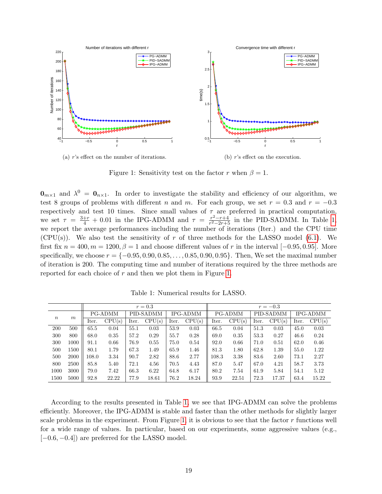

(a) r's effect on the number of iterations.

(b) r's effect on the execution.

<span id="page-18-1"></span>Figure 1: Sensitivity test on the factor r when  $\beta = 1$ .

 $\mathbf{0}_{m\times1}$  and  $\lambda^0 = \mathbf{0}_{n\times1}$ . In order to investigate the stability and efficiency of our algorithm, we test 8 groups of problems with different n and m. For each group, we set  $r = 0.3$  and  $r = -0.3$ respectively and test 10 times. Since small values of  $\tau$  are preferred in practical computation, we set  $\tau = \frac{3+r}{4} + 0.01$  in the IPG-ADMM and  $\tau = \frac{r^2 - r + 4}{r^2 - 2r + 5}$  $\frac{r^2-r+4}{r^2-2r+5}$  in the PID-SADMM. In Table [1,](#page-18-0) we report the average performances including the number of iterations (Iter.) and the CPU time  $(CPU(s))$ . We also test the sensitivity of r of three methods for the LASSO model [\(6.1\)](#page-17-1). We first fix  $n = 400, m = 1200, \beta = 1$  and choose different values of r in the interval [−0.95, 0.95]. More specifically, we choose  $r = \{-0.95, 0.90, 0.85, \ldots, 0.85, 0.90, 0.95\}$ . Then, We set the maximal number of iteration is 200. The computing time and number of iterations required by the three methods are reported for each choice of  $r$  and then we plot them in Figure [1.](#page-18-1)

|                  |      | $r=0.3$ |        |           |        |                 |        |         | $r = -0.3$ |           |        |                 |        |  |  |
|------------------|------|---------|--------|-----------|--------|-----------------|--------|---------|------------|-----------|--------|-----------------|--------|--|--|
| $\boldsymbol{n}$ | m    | PG-ADMM |        | PID-SADMM |        | <b>IPG-ADMM</b> |        | PG-ADMM |            | PID-SADMM |        | <b>IPG-ADMM</b> |        |  |  |
|                  |      | Iter.   | CPU(s) | Iter.     | CPU(s) | Iter.           | CPU(s) | Iter.   | CPU(s)     | Iter.     | CPU(s) | Iter.           | CPU(s) |  |  |
| 200              | 500  | 65.5    | 0.04   | 55.1      | 0.03   | 53.9            | 0.03   | 66.5    | 0.04       | 51.3      | 0.03   | 45.0            | 0.03   |  |  |
| 300              | 800  | 68.0    | 0.35   | 57.2      | 0.29   | 55.7            | 0.28   | 69.0    | 0.35       | 53.3      | 0.27   | 46.6            | 0.24   |  |  |
| 300              | 1000 | 91.1    | 0.66   | 76.9      | 0.55   | 75.0            | 0.54   | 92.0    | 0.66       | 71.0      | 0.51   | 62.0            | 0.46   |  |  |
| 500              | 1500 | 80.1    | 1.79   | 67.3      | 1.49   | 65.9            | 1.46   | 81.3    | 1.80       | 62.8      | 1.39   | 55.0            | 1.22   |  |  |
| 500              | 2000 | 108.0   | 3.34   | 90.7      | 2.82   | 88.6            | 2.77   | 108.3   | 3.38       | 83.6      | 2.60   | 73.1            | 2.27   |  |  |
| 800              | 2500 | 85.8    | 5.40   | 72.1      | 4.56   | 70.5            | 4.43   | 87.0    | 5.47       | 67.0      | 4.21   | 58.7            | 3.73   |  |  |
| 1000             | 3000 | 79.0    | 7.42   | 66.3      | 6.22   | 64.8            | 6.17   | 80.2    | 7.54       | 61.9      | 5.84   | 54.1            | 5.12   |  |  |
| 1500             | 5000 | 92.8    | 22.22  | 77.9      | 18.61  | 76.2            | 18.24  | 93.9    | 22.51      | 72.3      | 17.37  | 63.4            | 15.22  |  |  |

<span id="page-18-0"></span>Table 1: Numerical results for LASSO.

According to the results presented in Table [1,](#page-18-0) we see that IPG-ADMM can solve the problems efficiently. Moreover, the IPG-ADMM is stable and faster than the other methods for slightly larger scale problems in the experiment. From Figure [1,](#page-18-1) it is obvious to see that the factor  $r$  functions well for a wide range of values. In particular, based on our experiments, some aggressive values (e.g.,  $[-0.6, -0.4]$  are preferred for the LASSO model.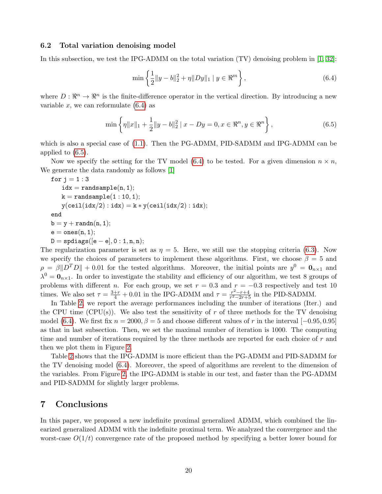#### 6.2 Total variation denoising model

In this subsection, we test the IPG-ADMM on the total variation (TV) denoising problem in [\[1,](#page-20-2) [32\]](#page-22-15):

<span id="page-19-1"></span>
$$
\min\left\{\frac{1}{2}||y-b||_2^2 + \eta ||Dy||_1 \mid y \in \Re^m\right\},\tag{6.4}
$$

where  $D: \mathbb{R}^n \to \mathbb{R}^n$  is the finite-difference operator in the vertical direction. By introducing a new variable x, we can reformulate  $(6.4)$  as

<span id="page-19-2"></span>
$$
\min\left\{\eta\|x\|_1 + \frac{1}{2}\|y - b\|_2^2 \mid x - Dy = 0, x \in \Re^n, y \in \Re^n\right\},\tag{6.5}
$$

which is also a special case of  $(1.1)$ . Then the PG-ADMM, PID-SADMM and IPG-ADMM can be applied to [\(6.5\)](#page-19-2).

Now we specify the setting for the TV model [\(6.4\)](#page-19-1) to be tested. For a given dimension  $n \times n$ , We generate the data randomly as follows [\[1\]](#page-20-2)

$$
\begin{aligned} &\text{for } j=1:3\\ &\text{idx}=\text{randsample}(n,1);\\ &\text{k}=\text{randsample}(1:10,1);\\ &\text{y}(\text{ceil}(\text{idx}/2):\text{idx})=\text{k}*\text{y}(\text{ceil}(\text{idx}/2):\text{idx});\\ &\text{end}\\ &\text{b}=y+\text{randn}(n,1);\\ &\text{e}=\text{ones}(n,1);\\ &\text{D}=\text{spdiags}([\text{e}-\text{e}],0:1,n,n); \end{aligned}
$$

The regularization parameter is set as  $\eta = 5$ . Here, we still use the stopping criteria [\(6.3\)](#page-17-3). Now we specify the choices of parameters to implement these algorithms. First, we choose  $\beta = 5$  and  $\rho = \beta \| D^T D \| + 0.01$  for the tested algorithms. Moreover, the initial points are  $y^0 = \mathbf{0}_{n \times 1}$  and  $\lambda^0 = \mathbf{0}_{n \times 1}$ . In order to investigate the stability and efficiency of our algorithm, we test 8 groups of problems with different n. For each group, we set  $r = 0.3$  and  $r = -0.3$  respectively and test 10 times. We also set  $\tau = \frac{3+r}{4} + 0.01$  in the IPG-ADMM and  $\tau = \frac{r^2-r+4}{r^2-2r+5}$  $\frac{r^2-r+4}{r^2-2r+5}$  in the PID-SADMM.

In Table [2,](#page-20-3) we report the average performances including the number of iterations (Iter.) and the CPU time (CPU(s)). We also test the sensitivity of r of three methods for the TV denoising model [\(6.4\)](#page-19-1). We first fix  $n = 2000, \beta = 5$  and choose different values of r in the interval [−0.95, 0.95] as that in last subsection. Then, we set the maximal number of iteration is 1000. The computing time and number of iterations required by the three methods are reported for each choice of r and then we plot them in Figure [2.](#page-20-4)

Table [2](#page-20-3) shows that the IPG-ADMM is more efficient than the PG-ADMM and PID-SADMM for the TV denoising model [\(6.4\)](#page-19-1). Moreover, the speed of algorithms are revelent to the dimension of the variables. From Figure [2,](#page-20-4) the IPG-ADMM is stable in our test, and faster than the PG-ADMM and PID-SADMM for slightly larger problems.

### <span id="page-19-0"></span>7 Conclusions

In this paper, we proposed a new indefinite proximal generalized ADMM, which combined the linearized generalized ADMM with the indefinite proximal term. We analyzed the convergence and the worst-case  $O(1/t)$  convergence rate of the proposed method by specifying a better lower bound for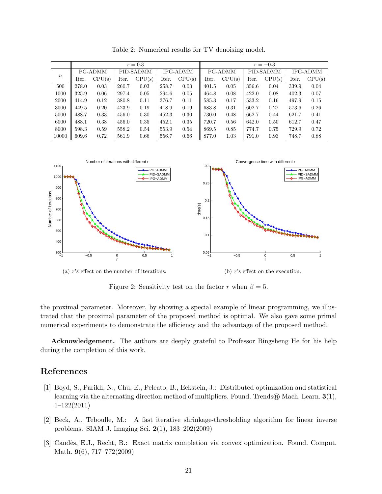|                  | $r=0.3$ |        |           |        |                 |        |         | $r = -0.3$ |           |        |                 |        |  |  |
|------------------|---------|--------|-----------|--------|-----------------|--------|---------|------------|-----------|--------|-----------------|--------|--|--|
| $\boldsymbol{n}$ | PG-ADMM |        | PID-SADMM |        | <b>IPG-ADMM</b> |        | PG-ADMM |            | PID-SADMM |        | <b>IPG-ADMM</b> |        |  |  |
|                  | Iter.   | CPU(s) | Iter.     | CPU(s) | Iter.           | CPU(s) | Iter.   | CPU(s)     | Iter.     | CPU(s) | Iter.           | CPU(s) |  |  |
| 500              | 278.0   | 0.03   | 260.7     | 0.03   | 258.7           | 0.03   | 401.5   | 0.05       | 356.6     | 0.04   | 339.9           | 0.04   |  |  |
| 1000             | 325.9   | 0.06   | 297.4     | 0.05   | 294.6           | 0.05   | 464.8   | 0.08       | 422.0     | 0.08   | 402.3           | 0.07   |  |  |
| 2000             | 414.9   | 0.12   | 380.8     | 0.11   | 376.7           | 0.11   | 585.3   | 0.17       | 533.2     | 0.16   | 497.9           | 0.15   |  |  |
| 3000             | 449.5   | 0.20   | 423.9     | 0.19   | 418.9           | 0.19   | 683.8   | 0.31       | 602.7     | 0.27   | 573.6           | 0.26   |  |  |
| 5000             | 488.7   | 0.33   | 456.0     | 0.30   | 452.3           | 0.30   | 730.0   | 0.48       | 662.7     | 0.44   | 621.7           | 0.41   |  |  |
| 6000             | 488.1   | 0.38   | 456.0     | 0.35   | 452.1           | 0.35   | 720.7   | 0.56       | 642.0     | 0.50   | 612.7           | 0.47   |  |  |
| 8000             | 598.3   | 0.59   | 558.2     | 0.54   | 553.9           | 0.54   | 869.5   | 0.85       | 774.7     | 0.75   | 729.9           | 0.72   |  |  |
| 10000            | 609.6   | 0.72   | 561.9     | 0.66   | 556.7           | 0.66   | 877.0   | 1.03       | 791.0     | 0.93   | 748.7           | 0.88   |  |  |

<span id="page-20-3"></span>Table 2: Numerical results for TV denoising model.



<span id="page-20-4"></span>Figure 2: Sensitivity test on the factor r when  $\beta = 5$ .

the proximal parameter. Moreover, by showing a special example of linear programming, we illustrated that the proximal parameter of the proposed method is optimal. We also gave some primal numerical experiments to demonstrate the efficiency and the advantage of the proposed method.

Acknowledgement. The authors are deeply grateful to Professor Bingsheng He for his help during the completion of this work.

# References

- <span id="page-20-2"></span>[1] Boyd, S., Parikh, N., Chu, E., Peleato, B., Eckstein, J.: Distributed optimization and statistical learning via the alternating direction method of multipliers. Found. Trends ® Mach. Learn. 3(1), 1–122(2011)
- <span id="page-20-0"></span>[2] Beck, A., Teboulle, M.: A fast iterative shrinkage-thresholding algorithm for linear inverse problems. SIAM J. Imaging Sci. 2(1), 183–202(2009)
- <span id="page-20-1"></span>[3] Candès, E.J., Recht, B.: Exact matrix completion via convex optimization. Found. Comput. Math. 9(6), 717–772(2009)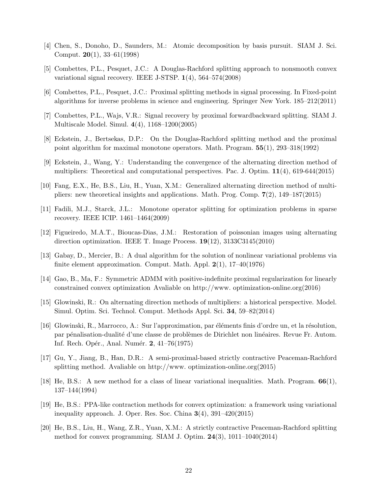- <span id="page-21-0"></span>[4] Chen, S., Donoho, D., Saunders, M.: Atomic decomposition by basis pursuit. SIAM J. Sci. Comput. 20(1), 33–61(1998)
- <span id="page-21-3"></span>[5] Combettes, P.L., Pesquet, J.C.: A Douglas-Rachford splitting approach to nonsmooth convex variational signal recovery. IEEE J-STSP. 1(4), 564–574(2008)
- <span id="page-21-4"></span>[6] Combettes, P.L., Pesquet, J.C.: Proximal splitting methods in signal processing. In Fixed-point algorithms for inverse problems in science and engineering. Springer New York. 185–212(2011)
- <span id="page-21-5"></span>[7] Combettes, P.L., Wajs, V.R.: Signal recovery by proximal forwardbackward splitting. SIAM J. Multiscale Model. Simul. 4(4), 1168–1200(2005)
- <span id="page-21-11"></span>[8] Eckstein, J., Bertsekas, D.P.: On the Douglas-Rachford splitting method and the proximal point algorithm for maximal monotone operators. Math. Program. 55(1), 293–318(1992)
- <span id="page-21-8"></span>[9] Eckstein, J., Wang, Y.: Understanding the convergence of the alternating direction method of multipliers: Theoretical and computational perspectives. Pac. J. Optim. 11(4), 619-644(2015)
- <span id="page-21-12"></span>[10] Fang, E.X., He, B.S., Liu, H., Yuan, X.M.: Generalized alternating direction method of multipliers: new theoretical insights and applications. Math. Prog. Comp. 7(2), 149–187(2015)
- <span id="page-21-7"></span>[11] Fadili, M.J., Starck, J.L.: Monotone operator splitting for optimization problems in sparse recovery. IEEE ICIP. 1461–1464(2009)
- <span id="page-21-6"></span>[12] Figueiredo, M.A.T., Bioucas-Dias, J.M.: Restoration of poissonian images using alternating direction optimization. IEEE T. Image Process. 19(12), 3133C3145(2010)
- <span id="page-21-1"></span>[13] Gabay, D., Mercier, B.: A dual algorithm for the solution of nonlinear variational problems via finite element approximation. Comput. Math. Appl. 2(1), 17–40(1976)
- <span id="page-21-13"></span>[14] Gao, B., Ma, F.: Symmetric ADMM with positive-indefinite proximal regularization for linearly constrained convex optimization Avaliable on http://www. optimization-online.org(2016)
- <span id="page-21-9"></span>[15] Glowinski, R.: On alternating direction methods of multipliers: a historical perspective. Model. Simul. Optim. Sci. Technol. Comput. Methods Appl. Sci. 34, 59–82(2014)
- <span id="page-21-2"></span>[16] Glowinski, R., Marrocco, A.: Sur l'approximation, par éléments finis d'ordre un, et la résolution, par pénalisation-dualité d'une classe de problèmes de Dirichlet non linéaires. Revue Fr. Autom. Inf. Rech. Opér., Anal. Numér. 2, 41–76(1975)
- <span id="page-21-10"></span>[17] Gu, Y., Jiang, B., Han, D.R.: A semi-proximal-based strictly contractive Peaceman-Rachford splitting method. Avaliable on http://www. optimization-online.org(2015)
- [18] He, B.S.: A new method for a class of linear variational inequalities. Math. Program. 66(1), 137–144(1994)
- <span id="page-21-14"></span>[19] He, B.S.: PPA-like contraction methods for convex optimization: a framework using variational inequality approach. J. Oper. Res. Soc. China  $3(4)$ ,  $391-420(2015)$
- <span id="page-21-15"></span>[20] He, B.S., Liu, H., Wang, Z.R., Yuan, X.M.: A strictly contractive Peaceman-Rachford splitting method for convex programming. SIAM J. Optim.  $24(3)$ , 1011–1040(2014)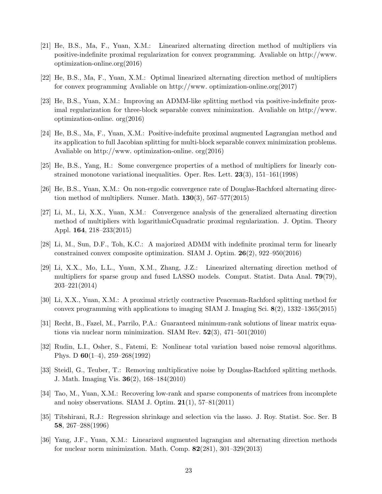- <span id="page-22-9"></span>[21] He, B.S., Ma, F., Yuan, X.M.: Linearized alternating direction method of multipliers via positive-indefinite proximal regularization for convex programming. Avaliable on http://www. optimization-online.org(2016)
- <span id="page-22-10"></span>[22] He, B.S., Ma, F., Yuan, X.M.: Optimal linearized alternating direction method of multipliers for convex programming Avaliable on http://www. optimization-online.org(2017)
- <span id="page-22-12"></span>[23] He, B.S., Yuan, X.M.: Improving an ADMM-like splitting method via positive-indefinite proximal regularization for three-block separable convex minimization. Avaliable on http://www. optimization-online. org(2016)
- <span id="page-22-13"></span>[24] He, B.S., Ma, F., Yuan, X.M.: Positive-indefnite proximal augmented Lagrangian method and its application to full Jacobian splitting for multi-block separable convex minimization problems. Avaliable on http://www. optimization-online. org(2016)
- <span id="page-22-14"></span>[25] He, B.S., Yang, H.: Some convergence properties of a method of multipliers for linearly constrained monotone variational inequalities. Oper. Res. Lett.  $23(3)$ ,  $151-161(1998)$
- <span id="page-22-11"></span>[26] He, B.S., Yuan, X.M.: On non-ergodic convergence rate of Douglas-Rachford alternating direction method of multipliers. Numer. Math.  $130(3)$ , 567–577(2015)
- <span id="page-22-4"></span>[27] Li, M., Li, X.X., Yuan, X.M.: Convergence analysis of the generalized alternating direction method of multipliers with logarithmicCquadratic proximal regularization. J. Optim. Theory Appl. 164, 218–233(2015)
- <span id="page-22-8"></span>[28] Li, M., Sun, D.F., Toh, K.C.: A majorized ADMM with indefinite proximal term for linearly constrained convex composite optimization. SIAM J. Optim. 26(2), 922–950(2016)
- <span id="page-22-6"></span>[29] Li, X.X., Mo, L.L., Yuan, X.M., Zhang, J.Z.: Linearized alternating direction method of multipliers for sparse group and fused LASSO models. Comput. Statist. Data Anal. 79(79), 203–221(2014)
- <span id="page-22-7"></span>[30] Li, X.X., Yuan, X.M.: A proximal strictly contractive Peaceman-Rachford splitting method for convex programming with applications to imaging SIAM J. Imaging Sci.  $8(2)$ , 1332–1365(2015)
- <span id="page-22-0"></span>[31] Recht, B., Fazel, M., Parrilo, P.A.: Guaranteed minimum-rank solutions of linear matrix equations via nuclear norm minimization. SIAM Rev.  $52(3)$ ,  $471-501(2010)$
- <span id="page-22-15"></span>[32] Rudin, L.I., Osher, S., Fatemi, E: Nonlinear total variation based noise removal algorithms. Phys. D 60(1–4), 259–268(1992)
- <span id="page-22-3"></span>[33] Steidl, G., Teuber, T.: Removing multiplicative noise by Douglas-Rachford splitting methods. J. Math. Imaging Vis. 36(2), 168–184(2010)
- <span id="page-22-1"></span>[34] Tao, M., Yuan, X.M.: Recovering low-rank and sparse components of matrices from incomplete and noisy observations. SIAM J. Optim.  $21(1)$ , 57–81(2011)
- <span id="page-22-2"></span>[35] Tibshirani, R.J.: Regression shrinkage and selection via the lasso. J. Roy. Statist. Soc. Ser. B 58, 267–288(1996)
- <span id="page-22-5"></span>[36] Yang, J.F., Yuan, X.M.: Linearized augmented lagrangian and alternating direction methods for nuclear norm minimization. Math. Comp. 82(281), 301–329(2013)